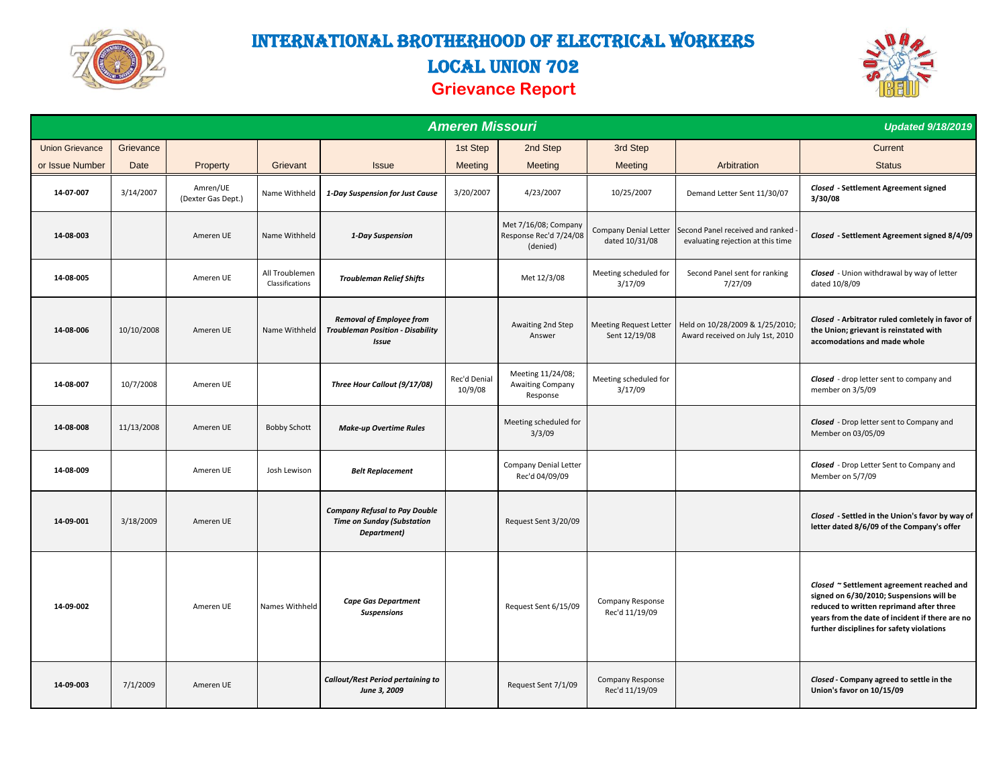

# International Brotherhood of Electrical Workers LOCAL UNION 702 **Grievance Report**



|                        | <b>Updated 9/18/2019</b> |                                |                                   |                                                                                            |                         |                                                            |                                                |                                                                         |                                                                                                                                                                                                                                   |
|------------------------|--------------------------|--------------------------------|-----------------------------------|--------------------------------------------------------------------------------------------|-------------------------|------------------------------------------------------------|------------------------------------------------|-------------------------------------------------------------------------|-----------------------------------------------------------------------------------------------------------------------------------------------------------------------------------------------------------------------------------|
| <b>Union Grievance</b> | Grievance                |                                |                                   |                                                                                            | 1st Step                | 2nd Step                                                   | 3rd Step                                       |                                                                         | Current                                                                                                                                                                                                                           |
| or Issue Number        | Date                     | Property                       | Grievant                          | <b>Issue</b>                                                                               | Meeting                 | Meeting                                                    | Meeting                                        | Arbitration                                                             | <b>Status</b>                                                                                                                                                                                                                     |
| 14-07-007              | 3/14/2007                | Amren/UE<br>(Dexter Gas Dept.) | Name Withheld                     | 1-Day Suspension for Just Cause                                                            | 3/20/2007               | 4/23/2007                                                  | 10/25/2007                                     | Demand Letter Sent 11/30/07                                             | Closed - Settlement Agreement signed<br>3/30/08                                                                                                                                                                                   |
| 14-08-003              |                          | Ameren UE                      | Name Withheld                     | 1-Day Suspension                                                                           |                         | Met 7/16/08; Company<br>Response Rec'd 7/24/08<br>(denied) | Company Denial Letter<br>dated 10/31/08        | Second Panel received and ranked -<br>evaluating rejection at this time | Closed - Settlement Agreement signed 8/4/09                                                                                                                                                                                       |
| 14-08-005              |                          | Ameren UE                      | All Troublemen<br>Classifications | <b>Troubleman Relief Shifts</b>                                                            |                         | Met 12/3/08                                                | Meeting scheduled for<br>3/17/09               | Second Panel sent for ranking<br>7/27/09                                | Closed - Union withdrawal by way of letter<br>dated 10/8/09                                                                                                                                                                       |
| 14-08-006              | 10/10/2008               | Ameren UE                      | Name Withheld                     | <b>Removal of Employee from</b><br><b>Troubleman Position - Disability</b><br><b>Issue</b> |                         | Awaiting 2nd Step<br>Answer                                | <b>Meeting Request Letter</b><br>Sent 12/19/08 | Held on 10/28/2009 & 1/25/2010;<br>Award received on July 1st, 2010     | Closed - Arbitrator ruled comletely in favor of<br>the Union; grievant is reinstated with<br>accomodations and made whole                                                                                                         |
| 14-08-007              | 10/7/2008                | Ameren UE                      |                                   | Three Hour Callout (9/17/08)                                                               | Rec'd Denial<br>10/9/08 | Meeting 11/24/08;<br><b>Awaiting Company</b><br>Response   | Meeting scheduled for<br>3/17/09               |                                                                         | Closed - drop letter sent to company and<br>member on 3/5/09                                                                                                                                                                      |
| 14-08-008              | 11/13/2008               | Ameren UE                      | <b>Bobby Schott</b>               | <b>Make-up Overtime Rules</b>                                                              |                         | Meeting scheduled for<br>3/3/09                            |                                                |                                                                         | <b>Closed</b> - Drop letter sent to Company and<br>Member on 03/05/09                                                                                                                                                             |
| 14-08-009              |                          | Ameren UE                      | Josh Lewison                      | <b>Belt Replacement</b>                                                                    |                         | Company Denial Letter<br>Rec'd 04/09/09                    |                                                |                                                                         | <b>Closed</b> - Drop Letter Sent to Company and<br>Member on 5/7/09                                                                                                                                                               |
| 14-09-001              | 3/18/2009                | Ameren UE                      |                                   | <b>Company Refusal to Pay Double</b><br><b>Time on Sunday (Substation</b><br>Department)   |                         | Request Sent 3/20/09                                       |                                                |                                                                         | Closed - Settled in the Union's favor by way of<br>letter dated 8/6/09 of the Company's offer                                                                                                                                     |
| 14-09-002              |                          | Ameren UE                      | Names Withheld                    | <b>Cape Gas Department</b><br><b>Suspensions</b>                                           |                         | Request Sent 6/15/09                                       | Company Response<br>Rec'd 11/19/09             |                                                                         | Closed ~ Settlement agreement reached and<br>signed on 6/30/2010; Suspensions will be<br>reduced to written reprimand after three<br>years from the date of incident if there are no<br>further disciplines for safety violations |
| 14-09-003              | 7/1/2009                 | Ameren UE                      |                                   | <b>Callout/Rest Period pertaining to</b><br>June 3, 2009                                   |                         | Request Sent 7/1/09                                        | Company Response<br>Rec'd 11/19/09             |                                                                         | Closed - Company agreed to settle in the<br>Union's favor on 10/15/09                                                                                                                                                             |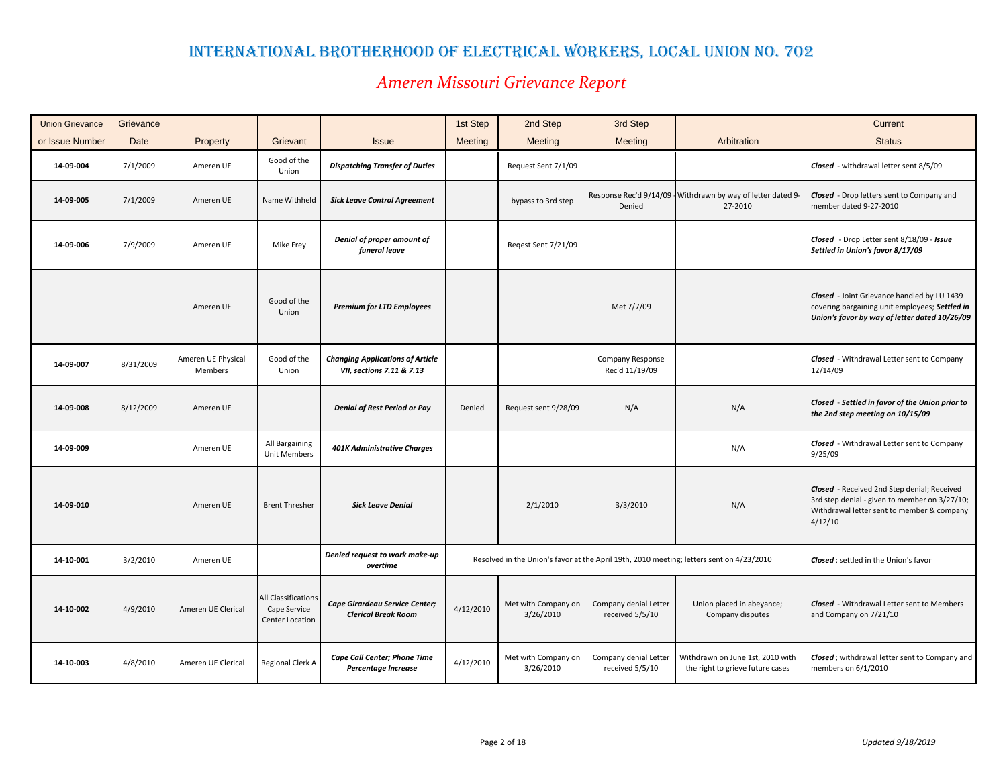| <b>Union Grievance</b> | Grievance |                                      |                                                        |                                                                      | 1st Step  | 2nd Step                         | 3rd Step                                 |                                                                                          | Current                                                                                                                                               |
|------------------------|-----------|--------------------------------------|--------------------------------------------------------|----------------------------------------------------------------------|-----------|----------------------------------|------------------------------------------|------------------------------------------------------------------------------------------|-------------------------------------------------------------------------------------------------------------------------------------------------------|
| or Issue Number        | Date      | Property                             | Grievant                                               | <b>Issue</b>                                                         | Meeting   | Meeting                          | Meeting                                  | Arbitration                                                                              | <b>Status</b>                                                                                                                                         |
| 14-09-004              | 7/1/2009  | Ameren UE                            | Good of the<br>Union                                   | <b>Dispatching Transfer of Duties</b>                                |           | Request Sent 7/1/09              |                                          |                                                                                          | Closed - withdrawal letter sent 8/5/09                                                                                                                |
| 14-09-005              | 7/1/2009  | Ameren UE                            | Name Withheld                                          | <b>Sick Leave Control Agreement</b>                                  |           | bypass to 3rd step               | Denied                                   | Response Rec'd 9/14/09 - Withdrawn by way of letter dated 9-<br>27-2010                  | <b>Closed</b> - Drop letters sent to Company and<br>member dated 9-27-2010                                                                            |
| 14-09-006              | 7/9/2009  | Ameren UE                            | Mike Frey                                              | Denial of proper amount of<br>funeral leave                          |           | Regest Sent 7/21/09              |                                          |                                                                                          | Closed - Drop Letter sent 8/18/09 - Issue<br>Settled in Union's favor 8/17/09                                                                         |
|                        |           | Ameren UE                            | Good of the<br>Union                                   | <b>Premium for LTD Employees</b>                                     |           |                                  | Met 7/7/09                               |                                                                                          | Closed - Joint Grievance handled by LU 1439<br>covering bargaining unit employees; Settled in<br>Union's favor by way of letter dated 10/26/09        |
| 14-09-007              | 8/31/2009 | Ameren UE Physical<br><b>Members</b> | Good of the<br>Union                                   | <b>Changing Applications of Article</b><br>VII, sections 7.11 & 7.13 |           |                                  | Company Response<br>Rec'd 11/19/09       |                                                                                          | <b>Closed</b> - Withdrawal Letter sent to Company<br>12/14/09                                                                                         |
| 14-09-008              | 8/12/2009 | Ameren UE                            |                                                        | <b>Denial of Rest Period or Pay</b>                                  | Denied    | Request sent 9/28/09             | N/A                                      | N/A                                                                                      | Closed - Settled in favor of the Union prior to<br>the 2nd step meeting on 10/15/09                                                                   |
| 14-09-009              |           | Ameren UE                            | All Bargaining<br>Unit Members                         | <b>401K Administrative Charges</b>                                   |           |                                  |                                          | N/A                                                                                      | <b>Closed</b> - Withdrawal Letter sent to Company<br>9/25/09                                                                                          |
| 14-09-010              |           | Ameren UE                            | <b>Brent Thresher</b>                                  | <b>Sick Leave Denial</b>                                             |           | 2/1/2010                         | 3/3/2010                                 | N/A                                                                                      | Closed - Received 2nd Step denial; Received<br>3rd step denial - given to member on 3/27/10;<br>Withdrawal letter sent to member & company<br>4/12/10 |
| 14-10-001              | 3/2/2010  | Ameren UE                            |                                                        | Denied request to work make-up<br>overtime                           |           |                                  |                                          | Resolved in the Union's favor at the April 19th, 2010 meeting; letters sent on 4/23/2010 | Closed; settled in the Union's favor                                                                                                                  |
| 14-10-002              | 4/9/2010  | Ameren UE Clerical                   | All Classifications<br>Cape Service<br>Center Location | Cape Girardeau Service Center;<br><b>Clerical Break Room</b>         | 4/12/2010 | Met with Company on<br>3/26/2010 | Company denial Letter<br>received 5/5/10 | Union placed in abeyance;<br>Company disputes                                            | <b>Closed</b> - Withdrawal Letter sent to Members<br>and Company on 7/21/10                                                                           |
| 14-10-003              | 4/8/2010  | Ameren UE Clerical                   | Regional Clerk A                                       | Cape Call Center; Phone Time<br>Percentage Increase                  | 4/12/2010 | Met with Company on<br>3/26/2010 | Company denial Letter<br>received 5/5/10 | Withdrawn on June 1st, 2010 with<br>the right to grieve future cases                     | Closed; withdrawal letter sent to Company and<br>members on 6/1/2010                                                                                  |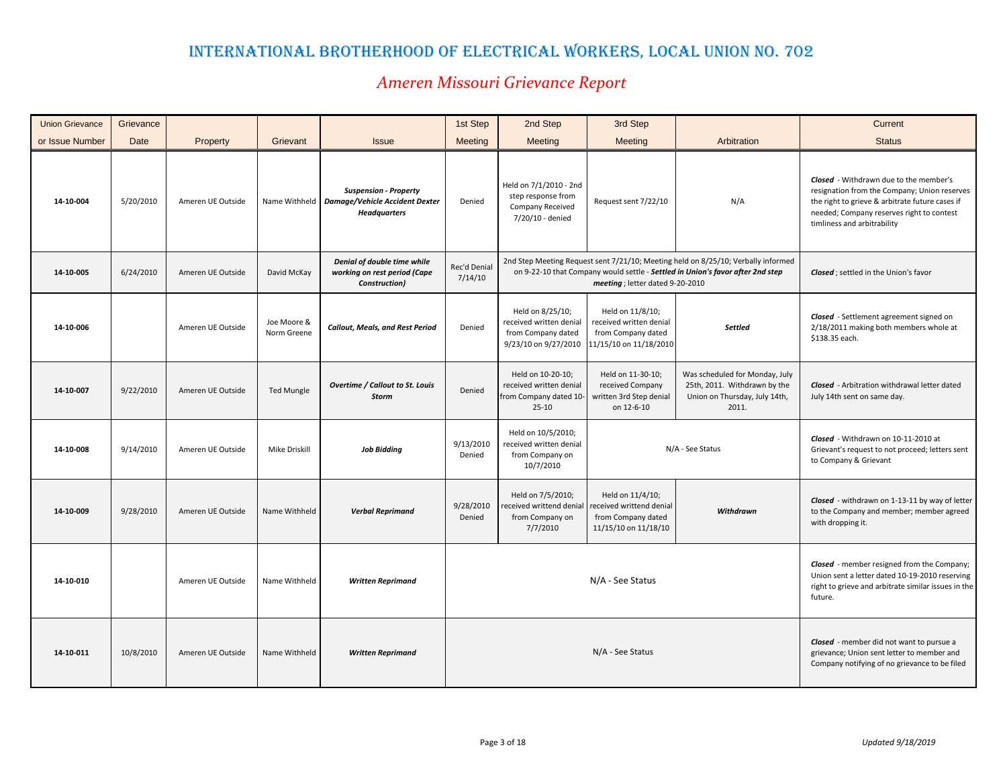| <b>Union Grievance</b> | Grievance |                   |                            |                                                                                       | 1st Step                | 2nd Step                                                                                  | 3rd Step                                                                                    |                                                                                                                                                                     | Current                                                                                                                                                                                                                      |
|------------------------|-----------|-------------------|----------------------------|---------------------------------------------------------------------------------------|-------------------------|-------------------------------------------------------------------------------------------|---------------------------------------------------------------------------------------------|---------------------------------------------------------------------------------------------------------------------------------------------------------------------|------------------------------------------------------------------------------------------------------------------------------------------------------------------------------------------------------------------------------|
| or Issue Number        | Date      | Property          | Grievant                   | <b>Issue</b>                                                                          | Meeting                 | Meeting                                                                                   | Meeting                                                                                     | Arbitration                                                                                                                                                         | <b>Status</b>                                                                                                                                                                                                                |
| 14-10-004              | 5/20/2010 | Ameren UE Outside | Name Withheld              | <b>Suspension - Property</b><br>Damage/Vehicle Accident Dexter<br><b>Headquarters</b> | Denied                  | Held on 7/1/2010 - 2nd<br>step response from<br>Company Received<br>7/20/10 - denied      | Request sent 7/22/10                                                                        | N/A                                                                                                                                                                 | <b>Closed</b> - Withdrawn due to the member's<br>resignation from the Company; Union reserves<br>the right to grieve & arbitrate future cases if<br>needed; Company reserves right to contest<br>timliness and arbitrability |
| 14-10-005              | 6/24/2010 | Ameren UE Outside | David McKay                | Denial of double time while<br>working on rest period (Cape<br>Construction)          | Rec'd Denial<br>7/14/10 |                                                                                           | meeting; letter dated 9-20-2010                                                             | 2nd Step Meeting Request sent 7/21/10; Meeting held on 8/25/10; Verbally informed<br>on 9-22-10 that Company would settle - Settled in Union's favor after 2nd step | <b>Closed</b> ; settled in the Union's favor                                                                                                                                                                                 |
| 14-10-006              |           | Ameren UE Outside | Joe Moore &<br>Norm Greene | <b>Callout, Meals, and Rest Period</b>                                                | Denied                  | Held on 8/25/10;<br>received written denial<br>from Company dated<br>9/23/10 on 9/27/2010 | Held on 11/8/10;<br>received written denial<br>from Company dated<br>11/15/10 on 11/18/2010 | <b>Settled</b>                                                                                                                                                      | Closed - Settlement agreement signed on<br>2/18/2011 making both members whole at<br>\$138.35 each.                                                                                                                          |
| 14-10-007              | 9/22/2010 | Ameren UE Outside | <b>Ted Mungle</b>          | <b>Overtime / Callout to St. Louis</b><br><b>Storm</b>                                | Denied                  | Held on 10-20-10;<br>received written denial<br>from Company dated 10-<br>$25-10$         | Held on 11-30-10;<br>received Company<br>written 3rd Step denial<br>on 12-6-10              | Was scheduled for Monday, July<br>25th, 2011. Withdrawn by the<br>Union on Thursday, July 14th,<br>2011.                                                            | <b>Closed</b> - Arbitration withdrawal letter dated<br>July 14th sent on same day.                                                                                                                                           |
| 14-10-008              | 9/14/2010 | Ameren UE Outside | Mike Driskill              | <b>Job Bidding</b>                                                                    | 9/13/2010<br>Denied     | Held on 10/5/2010;<br>received written denial<br>from Company on<br>10/7/2010             |                                                                                             | N/A - See Status                                                                                                                                                    | Closed - Withdrawn on 10-11-2010 at<br>Grievant's request to not proceed; letters sent<br>to Company & Grievant                                                                                                              |
| 14-10-009              | 9/28/2010 | Ameren UE Outside | Name Withheld              | <b>Verbal Reprimand</b>                                                               | 9/28/2010<br>Denied     | Held on 7/5/2010;<br>eceived writtend denial<br>from Company on<br>7/7/2010               | Held on 11/4/10;<br>received writtend denial<br>from Company dated<br>11/15/10 on 11/18/10  | Withdrawn                                                                                                                                                           | Closed - withdrawn on 1-13-11 by way of letter<br>to the Company and member; member agreed<br>with dropping it.                                                                                                              |
| 14-10-010              |           | Ameren UE Outside | Name Withheld              | <b>Written Reprimand</b>                                                              |                         |                                                                                           | N/A - See Status                                                                            |                                                                                                                                                                     | <b>Closed</b> - member resigned from the Company;<br>Union sent a letter dated 10-19-2010 reserving<br>right to grieve and arbitrate similar issues in the<br>future.                                                        |
| 14-10-011              | 10/8/2010 | Ameren UE Outside | Name Withheld              | <b>Written Reprimand</b>                                                              |                         |                                                                                           | N/A - See Status                                                                            |                                                                                                                                                                     | Closed - member did not want to pursue a<br>grievance; Union sent letter to member and<br>Company notifying of no grievance to be filed                                                                                      |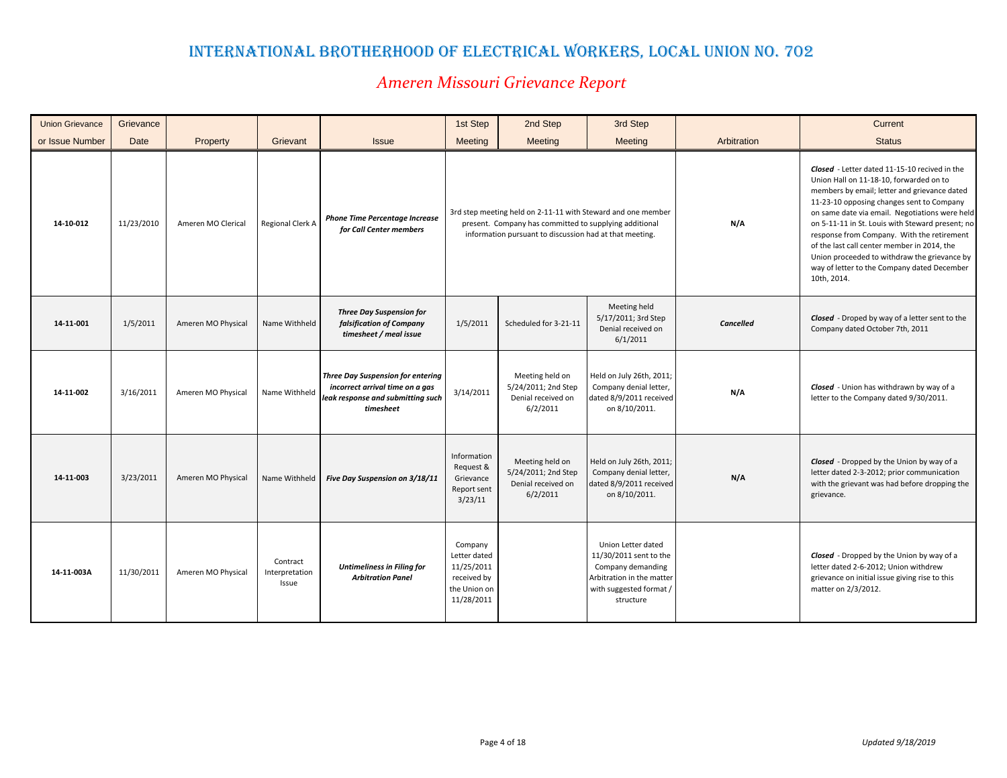| <b>Union Grievance</b> | Grievance  |                    |                                     |                                                                                                                               | 1st Step                                                                           | 2nd Step                                                                                                          | 3rd Step                                                                                                                               |                  | Current                                                                                                                                                                                                                                                                                                                                                                                                                                                                                                |
|------------------------|------------|--------------------|-------------------------------------|-------------------------------------------------------------------------------------------------------------------------------|------------------------------------------------------------------------------------|-------------------------------------------------------------------------------------------------------------------|----------------------------------------------------------------------------------------------------------------------------------------|------------------|--------------------------------------------------------------------------------------------------------------------------------------------------------------------------------------------------------------------------------------------------------------------------------------------------------------------------------------------------------------------------------------------------------------------------------------------------------------------------------------------------------|
| or Issue Number        | Date       | Property           | Grievant                            | <b>Issue</b>                                                                                                                  | Meeting                                                                            | Meeting                                                                                                           | Meeting                                                                                                                                | Arbitration      | <b>Status</b>                                                                                                                                                                                                                                                                                                                                                                                                                                                                                          |
| 14-10-012              | 11/23/2010 | Ameren MO Clerical | Regional Clerk A                    | <b>Phone Time Percentage Increase</b><br>for Call Center members                                                              |                                                                                    | present. Company has committed to supplying additional<br>information pursuant to discussion had at that meeting. | 3rd step meeting held on 2-11-11 with Steward and one member                                                                           | N/A              | Closed - Letter dated 11-15-10 recived in the<br>Union Hall on 11-18-10, forwarded on to<br>members by email; letter and grievance dated<br>11-23-10 opposing changes sent to Company<br>on same date via email. Negotiations were held<br>on 5-11-11 in St. Louis with Steward present; no<br>response from Company. With the retirement<br>of the last call center member in 2014, the<br>Union proceeded to withdraw the grievance by<br>way of letter to the Company dated December<br>10th, 2014. |
| 14-11-001              | 1/5/2011   | Ameren MO Physical | Name Withheld                       | <b>Three Day Suspension for</b><br>falsification of Company<br>timesheet / meal issue                                         | 1/5/2011                                                                           | Scheduled for 3-21-11                                                                                             | Meeting held<br>5/17/2011; 3rd Step<br>Denial received on<br>6/1/2011                                                                  | <b>Cancelled</b> | <b>Closed</b> - Droped by way of a letter sent to the<br>Company dated October 7th, 2011                                                                                                                                                                                                                                                                                                                                                                                                               |
| 14-11-002              | 3/16/2011  | Ameren MO Physical | Name Withheld                       | <b>Three Day Suspension for entering</b><br>incorrect arrival time on a gas<br>leak response and submitting such<br>timesheet | 3/14/2011                                                                          | Meeting held on<br>5/24/2011; 2nd Step<br>Denial received on<br>6/2/2011                                          | Held on July 26th, 2011;<br>Company denial letter,<br>dated 8/9/2011 received<br>on 8/10/2011.                                         | N/A              | Closed - Union has withdrawn by way of a<br>letter to the Company dated 9/30/2011.                                                                                                                                                                                                                                                                                                                                                                                                                     |
| 14-11-003              | 3/23/2011  | Ameren MO Physical | Name Withheld                       | Five Day Suspension on 3/18/11                                                                                                | Information<br>Request &<br>Grievance<br>Report sent<br>3/23/11                    | Meeting held on<br>5/24/2011; 2nd Step<br>Denial received on<br>6/2/2011                                          | Held on July 26th, 2011;<br>Company denial letter,<br>dated 8/9/2011 received<br>on 8/10/2011.                                         | N/A              | <b>Closed</b> - Dropped by the Union by way of a<br>letter dated 2-3-2012; prior communication<br>with the grievant was had before dropping the<br>grievance.                                                                                                                                                                                                                                                                                                                                          |
| 14-11-003A             | 11/30/2011 | Ameren MO Physical | Contract<br>Interpretation<br>Issue | <b>Untimeliness in Filing for</b><br><b>Arbitration Panel</b>                                                                 | Company<br>Letter dated<br>11/25/2011<br>received by<br>the Union on<br>11/28/2011 |                                                                                                                   | Union Letter dated<br>11/30/2011 sent to the<br>Company demanding<br>Arbitration in the matter<br>with suggested format /<br>structure |                  | Closed - Dropped by the Union by way of a<br>letter dated 2-6-2012; Union withdrew<br>grievance on initial issue giving rise to this<br>matter on 2/3/2012.                                                                                                                                                                                                                                                                                                                                            |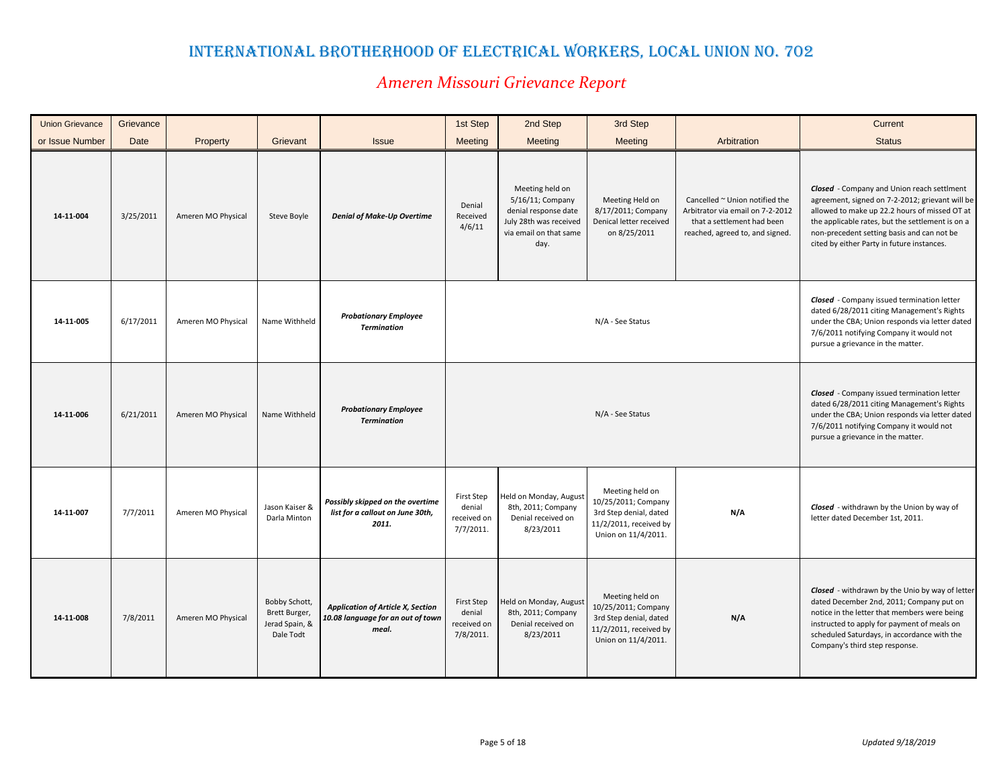| <b>Union Grievance</b> | Grievance |                    |                                                               |                                                                                        | 1st Step                                                | 2nd Step                                                                                                                | 3rd Step                                                                                                          |                                                                                                                                     | Current                                                                                                                                                                                                                                                                                        |
|------------------------|-----------|--------------------|---------------------------------------------------------------|----------------------------------------------------------------------------------------|---------------------------------------------------------|-------------------------------------------------------------------------------------------------------------------------|-------------------------------------------------------------------------------------------------------------------|-------------------------------------------------------------------------------------------------------------------------------------|------------------------------------------------------------------------------------------------------------------------------------------------------------------------------------------------------------------------------------------------------------------------------------------------|
| or Issue Number        | Date      | Property           | Grievant                                                      | <b>Issue</b>                                                                           | Meeting                                                 | Meeting                                                                                                                 | Meeting                                                                                                           | Arbitration                                                                                                                         | <b>Status</b>                                                                                                                                                                                                                                                                                  |
| 14-11-004              | 3/25/2011 | Ameren MO Physical | Steve Boyle                                                   | <b>Denial of Make-Up Overtime</b>                                                      | Denial<br>Received<br>4/6/11                            | Meeting held on<br>5/16/11; Company<br>denial response date<br>July 28th was received<br>via email on that same<br>day. | Meeting Held on<br>8/17/2011; Company<br>Denical letter received<br>on 8/25/2011                                  | Cancelled ~ Union notified the<br>Arbitrator via email on 7-2-2012<br>that a settlement had been<br>reached, agreed to, and signed. | Closed - Company and Union reach settlment<br>agreement, signed on 7-2-2012; grievant will be<br>allowed to make up 22.2 hours of missed OT at<br>the applicable rates, but the settlement is on a<br>non-precedent setting basis and can not be<br>cited by either Party in future instances. |
| 14-11-005              | 6/17/2011 | Ameren MO Physical | Name Withheld                                                 | <b>Probationary Employee</b><br><b>Termination</b>                                     |                                                         |                                                                                                                         | N/A - See Status                                                                                                  |                                                                                                                                     | <b>Closed</b> - Company issued termination letter<br>dated 6/28/2011 citing Management's Rights<br>under the CBA; Union responds via letter dated<br>7/6/2011 notifying Company it would not<br>pursue a grievance in the matter.                                                              |
| 14-11-006              | 6/21/2011 | Ameren MO Physical | Name Withheld                                                 | <b>Probationary Employee</b><br><b>Termination</b>                                     |                                                         |                                                                                                                         | N/A - See Status                                                                                                  |                                                                                                                                     | <b>Closed</b> - Company issued termination letter<br>dated 6/28/2011 citing Management's Rights<br>under the CBA; Union responds via letter dated<br>7/6/2011 notifying Company it would not<br>pursue a grievance in the matter.                                                              |
| 14-11-007              | 7/7/2011  | Ameren MO Physical | Jason Kaiser &<br>Darla Minton                                | Possibly skipped on the overtime<br>list for a callout on June 30th,<br>2011.          | First Step<br>denial<br>received on<br>7/7/2011.        | Held on Monday, August<br>8th, 2011; Company<br>Denial received on<br>8/23/2011                                         | Meeting held on<br>10/25/2011; Company<br>3rd Step denial, dated<br>11/2/2011, received by<br>Union on 11/4/2011. | N/A                                                                                                                                 | Closed - withdrawn by the Union by way of<br>letter dated December 1st, 2011.                                                                                                                                                                                                                  |
| 14-11-008              | 7/8/2011  | Ameren MO Physical | Bobby Schott,<br>Brett Burger,<br>Jerad Spain, &<br>Dale Todt | <b>Application of Article X, Section</b><br>10.08 language for an out of town<br>meal. | <b>First Step</b><br>denial<br>received on<br>7/8/2011. | Held on Monday, August<br>8th, 2011; Company<br>Denial received on<br>8/23/2011                                         | Meeting held on<br>10/25/2011; Company<br>3rd Step denial, dated<br>11/2/2011, received by<br>Union on 11/4/2011. | N/A                                                                                                                                 | Closed - withdrawn by the Unio by way of letter<br>dated December 2nd, 2011; Company put on<br>notice in the letter that members were being<br>instructed to apply for payment of meals on<br>scheduled Saturdays, in accordance with the<br>Company's third step response.                    |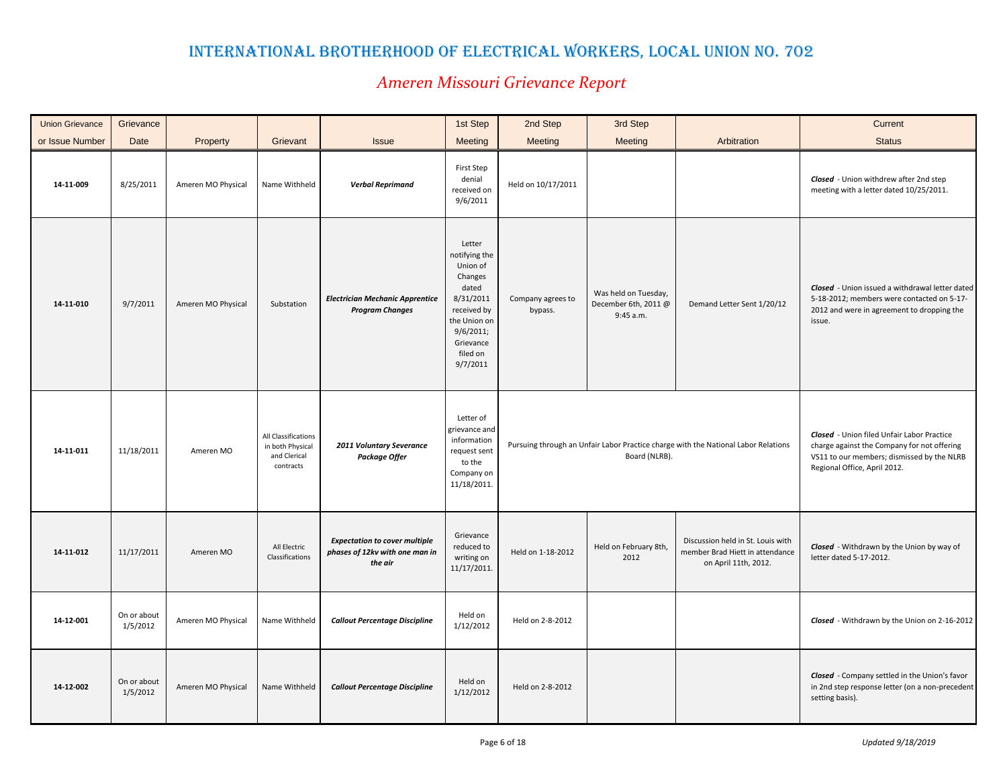| <b>Union Grievance</b> | Grievance               |                    |                                                                      |                                                                                   | 1st Step                                                                                                                                              | 2nd Step                     | 3rd Step                                                  |                                                                                              | Current                                                                                                                                                                        |
|------------------------|-------------------------|--------------------|----------------------------------------------------------------------|-----------------------------------------------------------------------------------|-------------------------------------------------------------------------------------------------------------------------------------------------------|------------------------------|-----------------------------------------------------------|----------------------------------------------------------------------------------------------|--------------------------------------------------------------------------------------------------------------------------------------------------------------------------------|
| or Issue Number        | Date                    | Property           | Grievant                                                             | <b>Issue</b>                                                                      | Meeting                                                                                                                                               | Meeting                      | <b>Meeting</b>                                            | Arbitration                                                                                  | <b>Status</b>                                                                                                                                                                  |
| 14-11-009              | 8/25/2011               | Ameren MO Physical | Name Withheld                                                        | <b>Verbal Reprimand</b>                                                           | <b>First Step</b><br>denial<br>received on<br>9/6/2011                                                                                                | Held on 10/17/2011           |                                                           |                                                                                              | Closed - Union withdrew after 2nd step<br>meeting with a letter dated 10/25/2011.                                                                                              |
| 14-11-010              | 9/7/2011                | Ameren MO Physical | Substation                                                           | <b>Electrician Mechanic Apprentice</b><br><b>Program Changes</b>                  | Letter<br>notifying the<br>Union of<br>Changes<br>dated<br>8/31/2011<br>received by<br>the Union on<br>9/6/2011;<br>Grievance<br>filed on<br>9/7/2011 | Company agrees to<br>bypass. | Was held on Tuesday,<br>December 6th, 2011 @<br>9:45 a.m. | Demand Letter Sent 1/20/12                                                                   | Closed - Union issued a withdrawal letter dated<br>5-18-2012; members were contacted on 5-17-<br>2012 and were in agreement to dropping the<br>issue.                          |
| 14-11-011              | 11/18/2011              | Ameren MO          | All Classifications<br>in both Physical<br>and Clerical<br>contracts | 2011 Voluntary Severance<br>Package Offer                                         | Letter of<br>grievance and<br>information<br>request sent<br>to the<br>Company on<br>11/18/2011.                                                      |                              | Board (NLRB).                                             | Pursuing through an Unfair Labor Practice charge with the National Labor Relations           | <b>Closed</b> - Union filed Unfair Labor Practice<br>charge against the Company for not offering<br>VS11 to our members; dismissed by the NLRB<br>Regional Office, April 2012. |
| 14-11-012              | 11/17/2011              | Ameren MO          | All Electric<br>Classifications                                      | <b>Expectation to cover multiple</b><br>phases of 12kv with one man in<br>the air | Grievance<br>reduced to<br>writing on<br>11/17/2011.                                                                                                  | Held on 1-18-2012            | Held on February 8th,<br>2012                             | Discussion held in St. Louis with<br>member Brad Hiett in attendance<br>on April 11th, 2012. | Closed - Withdrawn by the Union by way of<br>letter dated 5-17-2012.                                                                                                           |
| 14-12-001              | On or about<br>1/5/2012 | Ameren MO Physical | Name Withheld                                                        | <b>Callout Percentage Discipline</b>                                              | Held on<br>1/12/2012                                                                                                                                  | Held on 2-8-2012             |                                                           |                                                                                              | Closed - Withdrawn by the Union on 2-16-2012                                                                                                                                   |
| 14-12-002              | On or about<br>1/5/2012 | Ameren MO Physical | Name Withheld                                                        | <b>Callout Percentage Discipline</b>                                              | Held on<br>1/12/2012                                                                                                                                  | Held on 2-8-2012             |                                                           |                                                                                              | Closed - Company settled in the Union's favor<br>in 2nd step response letter (on a non-precedent<br>setting basis).                                                            |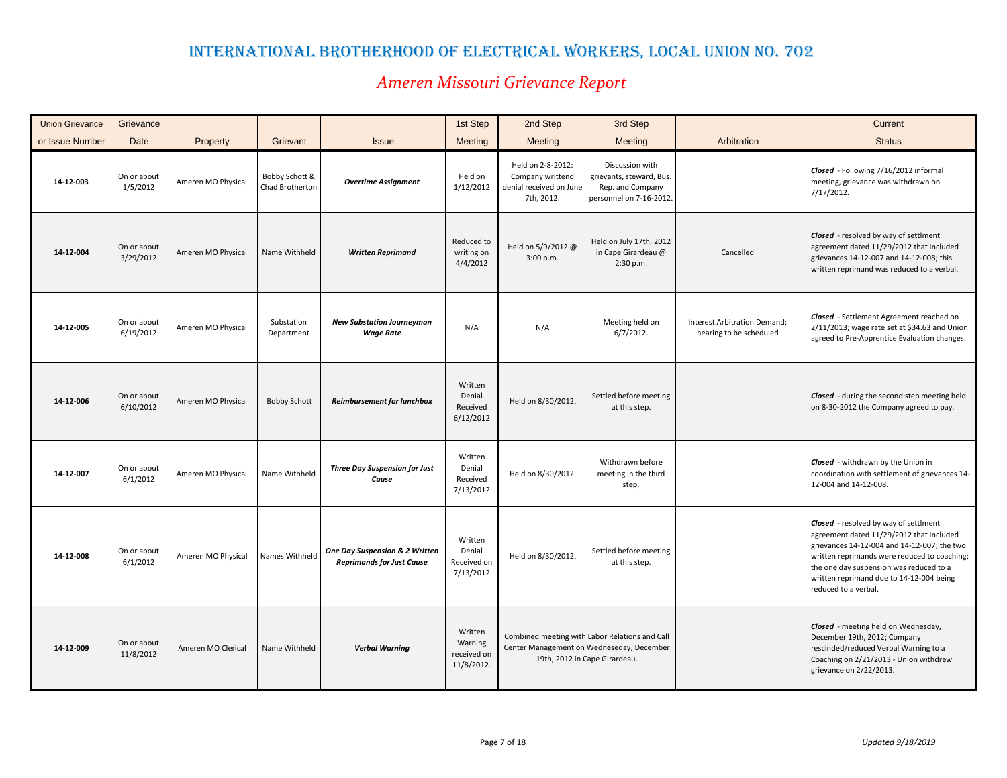| <b>Union Grievance</b> | Grievance                |                    |                                   |                                                                    | 1st Step                                        | 2nd Step                                                                       | 3rd Step                                                                                                                     |                                                         | Current                                                                                                                                                                                                                                                                                                |
|------------------------|--------------------------|--------------------|-----------------------------------|--------------------------------------------------------------------|-------------------------------------------------|--------------------------------------------------------------------------------|------------------------------------------------------------------------------------------------------------------------------|---------------------------------------------------------|--------------------------------------------------------------------------------------------------------------------------------------------------------------------------------------------------------------------------------------------------------------------------------------------------------|
| or Issue Number        | Date                     | Property           | Grievant                          | <b>Issue</b>                                                       | <b>Meeting</b>                                  | Meeting                                                                        | Meeting                                                                                                                      | Arbitration                                             | <b>Status</b>                                                                                                                                                                                                                                                                                          |
| 14-12-003              | On or about<br>1/5/2012  | Ameren MO Physical | Bobby Schott &<br>Chad Brotherton | <b>Overtime Assignment</b>                                         | Held on<br>1/12/2012                            | Held on 2-8-2012:<br>Company writtend<br>denial received on June<br>7th, 2012. | Discussion with<br>grievants, steward, Bus.<br>Rep. and Company<br>personnel on 7-16-2012.                                   |                                                         | Closed - Following 7/16/2012 informal<br>meeting, grievance was withdrawn on<br>7/17/2012.                                                                                                                                                                                                             |
| 14-12-004              | On or about<br>3/29/2012 | Ameren MO Physical | Name Withheld                     | <b>Written Reprimand</b>                                           | Reduced to<br>writing on<br>4/4/2012            | Held on 5/9/2012 @<br>3:00 p.m.                                                | Held on July 17th, 2012<br>in Cape Girardeau @<br>2:30 p.m.                                                                  | Cancelled                                               | <b>Closed</b> - resolved by way of settiment<br>agreement dated 11/29/2012 that included<br>grievances 14-12-007 and 14-12-008; this<br>written reprimand was reduced to a verbal.                                                                                                                     |
| 14-12-005              | On or about<br>6/19/2012 | Ameren MO Physical | Substation<br>Department          | <b>New Substation Journeyman</b><br><b>Wage Rate</b>               | N/A                                             | N/A                                                                            | Meeting held on<br>$6/7/2012$ .                                                                                              | Interest Arbitration Demand;<br>hearing to be scheduled | Closed - Settlement Agreement reached on<br>2/11/2013; wage rate set at \$34.63 and Union<br>agreed to Pre-Apprentice Evaluation changes.                                                                                                                                                              |
| 14-12-006              | On or about<br>6/10/2012 | Ameren MO Physical | <b>Bobby Schott</b>               | <b>Reimbursement for lunchbox</b>                                  | Written<br>Denial<br>Received<br>6/12/2012      | Held on 8/30/2012.                                                             | Settled before meeting<br>at this step.                                                                                      |                                                         | <b>Closed</b> - during the second step meeting held<br>on 8-30-2012 the Company agreed to pay.                                                                                                                                                                                                         |
| 14-12-007              | On or about<br>6/1/2012  | Ameren MO Physical | Name Withheld                     | <b>Three Day Suspension for Just</b><br>Cause                      | Written<br>Denial<br>Received<br>7/13/2012      | Held on 8/30/2012.                                                             | Withdrawn before<br>meeting in the third<br>step.                                                                            |                                                         | Closed - withdrawn by the Union in<br>coordination with settlement of grievances 14-<br>12-004 and 14-12-008.                                                                                                                                                                                          |
| 14-12-008              | On or about<br>6/1/2012  | Ameren MO Physical | Names Withheld                    | One Day Suspension & 2 Written<br><b>Reprimands for Just Cause</b> | Written<br>Denial<br>Received on<br>7/13/2012   | Held on 8/30/2012.                                                             | Settled before meeting<br>at this step.                                                                                      |                                                         | <b>Closed</b> - resolved by way of settlment<br>agreement dated 11/29/2012 that included<br>grievances 14-12-004 and 14-12-007; the two<br>written reprimands were reduced to coaching;<br>the one day suspension was reduced to a<br>written reprimand due to 14-12-004 being<br>reduced to a verbal. |
| 14-12-009              | On or about<br>11/8/2012 | Ameren MO Clerical | Name Withheld                     | <b>Verbal Warning</b>                                              | Written<br>Warning<br>received on<br>11/8/2012. |                                                                                | Combined meeting with Labor Relations and Call<br>Center Management on Wedneseday, December<br>19th, 2012 in Cape Girardeau. |                                                         | Closed - meeting held on Wednesday,<br>December 19th, 2012; Company<br>rescinded/reduced Verbal Warning to a<br>Coaching on 2/21/2013 - Union withdrew<br>grievance on 2/22/2013.                                                                                                                      |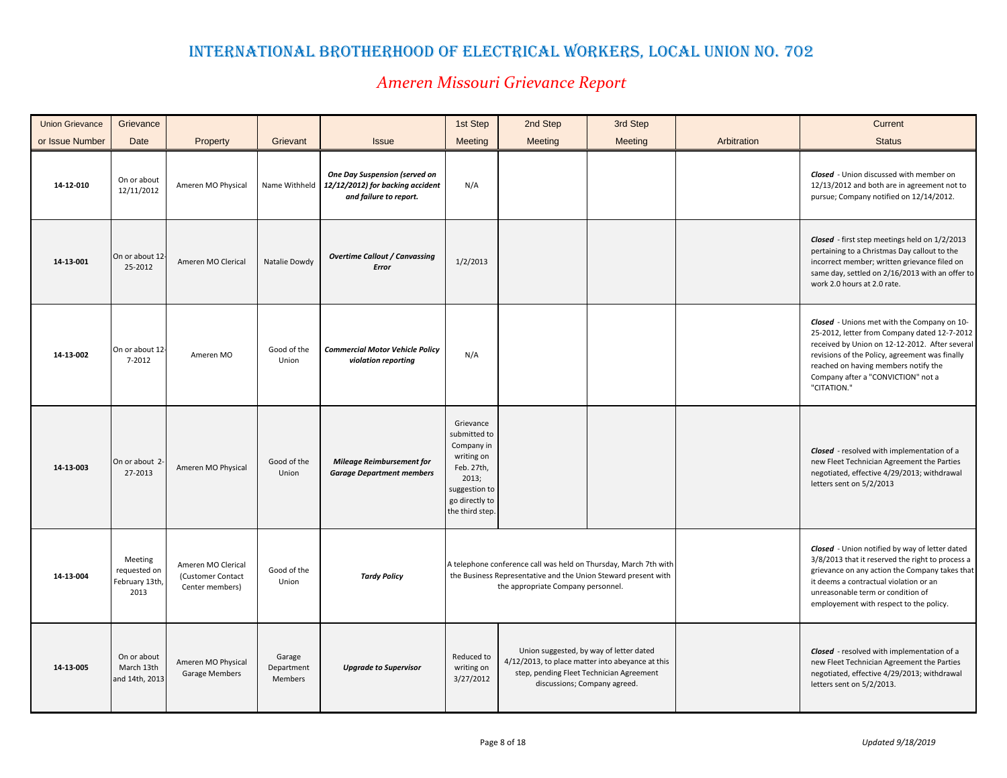| <b>Union Grievance</b> | Grievance                                         |                                                            |                                 |                                                                                             | 1st Step                                                                                                                           | 2nd Step                                                                                                                                                                 | 3rd Step                                                                                                                                                                |             | Current                                                                                                                                                                                                                                                                                      |
|------------------------|---------------------------------------------------|------------------------------------------------------------|---------------------------------|---------------------------------------------------------------------------------------------|------------------------------------------------------------------------------------------------------------------------------------|--------------------------------------------------------------------------------------------------------------------------------------------------------------------------|-------------------------------------------------------------------------------------------------------------------------------------------------------------------------|-------------|----------------------------------------------------------------------------------------------------------------------------------------------------------------------------------------------------------------------------------------------------------------------------------------------|
| or Issue Number        | Date                                              | Property                                                   | Grievant                        | <b>Issue</b>                                                                                | Meeting                                                                                                                            | <b>Meeting</b>                                                                                                                                                           | Meeting                                                                                                                                                                 | Arbitration | <b>Status</b>                                                                                                                                                                                                                                                                                |
| 14-12-010              | On or about<br>12/11/2012                         | Ameren MO Physical                                         | Name Withheld                   | One Day Suspension (served on<br>12/12/2012) for backing accident<br>and failure to report. | N/A                                                                                                                                |                                                                                                                                                                          |                                                                                                                                                                         |             | <b>Closed</b> - Union discussed with member on<br>12/13/2012 and both are in agreement not to<br>pursue; Company notified on 12/14/2012.                                                                                                                                                     |
| 14-13-001              | On or about 12<br>25-2012                         | Ameren MO Clerical                                         | Natalie Dowdy                   | <b>Overtime Callout / Canvassing</b><br>Error                                               | 1/2/2013                                                                                                                           |                                                                                                                                                                          |                                                                                                                                                                         |             | Closed - first step meetings held on 1/2/2013<br>pertaining to a Christmas Day callout to the<br>incorrect member; written grievance filed on<br>same day, settled on 2/16/2013 with an offer to<br>work 2.0 hours at 2.0 rate.                                                              |
| 14-13-002              | On or about 12<br>7-2012                          | Ameren MO                                                  | Good of the<br>Union            | <b>Commercial Motor Vehicle Policy</b><br>violation reporting                               | N/A                                                                                                                                |                                                                                                                                                                          |                                                                                                                                                                         |             | Closed - Unions met with the Company on 10-<br>25-2012, letter from Company dated 12-7-2012<br>received by Union on 12-12-2012. After several<br>revisions of the Policy, agreement was finally<br>reached on having members notify the<br>Company after a "CONVICTION" not a<br>"CITATION." |
| 14-13-003              | On or about 2<br>27-2013                          | Ameren MO Physical                                         | Good of the<br>Union            | <b>Mileage Reimbursement for</b><br><b>Garage Department members</b>                        | Grievance<br>submitted to<br>Company in<br>writing on<br>Feb. 27th,<br>2013;<br>suggestion to<br>go directly to<br>the third step. |                                                                                                                                                                          |                                                                                                                                                                         |             | <b>Closed</b> - resolved with implementation of a<br>new Fleet Technician Agreement the Parties<br>negotiated, effective 4/29/2013; withdrawal<br>letters sent on 5/2/2013                                                                                                                   |
| 14-13-004              | Meeting<br>requested on<br>February 13th,<br>2013 | Ameren MO Clerical<br>(Customer Contact<br>Center members) | Good of the<br>Union            | <b>Tardy Policy</b>                                                                         |                                                                                                                                    | A telephone conference call was held on Thursday, March 7th with<br>the Business Representative and the Union Steward present with<br>the appropriate Company personnel. |                                                                                                                                                                         |             | Closed - Union notified by way of letter dated<br>3/8/2013 that it reserved the right to process a<br>grievance on any action the Company takes that<br>it deems a contractual violation or an<br>unreasonable term or condition of<br>employement with respect to the policy.               |
| 14-13-005              | On or about<br>March 13th<br>and 14th, 2013       | Ameren MO Physical<br>Garage Members                       | Garage<br>Department<br>Members | <b>Upgrade to Supervisor</b>                                                                | Reduced to<br>writing on<br>3/27/2012                                                                                              |                                                                                                                                                                          | Union suggested, by way of letter dated<br>4/12/2013, to place matter into abeyance at this<br>step, pending Fleet Technician Agreement<br>discussions; Company agreed. |             | <b>Closed</b> - resolved with implementation of a<br>new Fleet Technician Agreement the Parties<br>negotiated, effective 4/29/2013; withdrawal<br>letters sent on 5/2/2013.                                                                                                                  |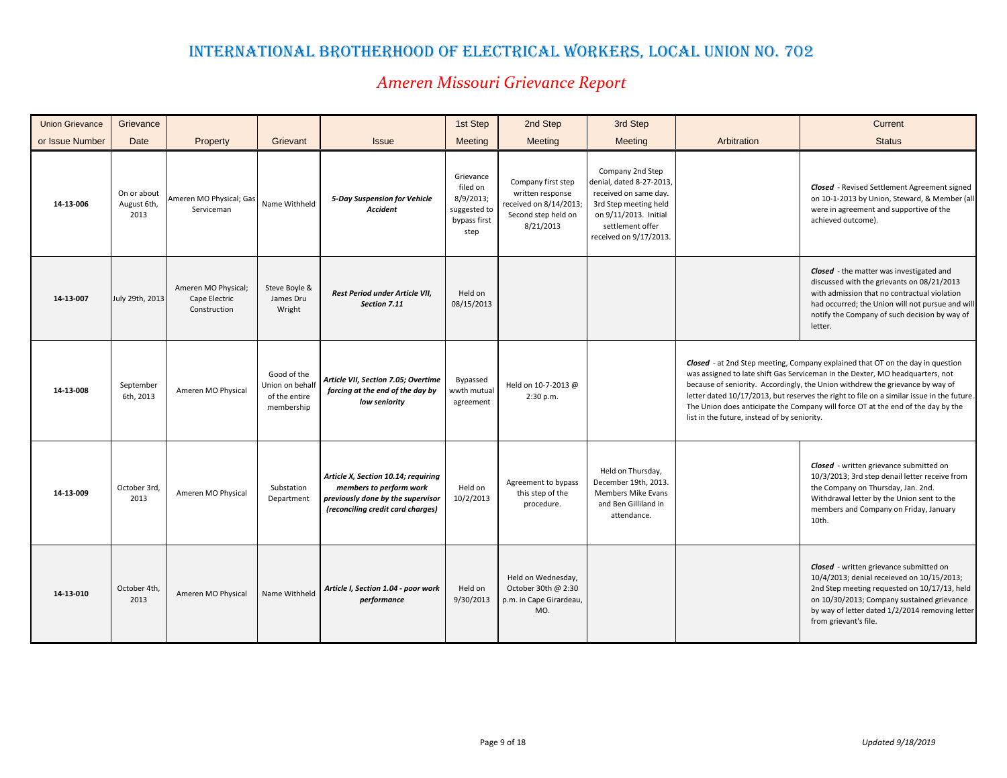| <b>Union Grievance</b> | Grievance                          |                                                      |                                                                           |                                                                                                                                          | 1st Step                                                                   | 2nd Step                                                                                             | 3rd Step                                                                                                                                                              |                                              | Current                                                                                                                                                                                                                                                                                                                                                                                                                                  |
|------------------------|------------------------------------|------------------------------------------------------|---------------------------------------------------------------------------|------------------------------------------------------------------------------------------------------------------------------------------|----------------------------------------------------------------------------|------------------------------------------------------------------------------------------------------|-----------------------------------------------------------------------------------------------------------------------------------------------------------------------|----------------------------------------------|------------------------------------------------------------------------------------------------------------------------------------------------------------------------------------------------------------------------------------------------------------------------------------------------------------------------------------------------------------------------------------------------------------------------------------------|
| or Issue Number        | Date                               | Property                                             | Grievant                                                                  | <b>Issue</b>                                                                                                                             | Meeting                                                                    | Meeting                                                                                              | Meeting                                                                                                                                                               | Arbitration                                  | <b>Status</b>                                                                                                                                                                                                                                                                                                                                                                                                                            |
| 14-13-006              | On or about<br>August 6th,<br>2013 | Ameren MO Physical; Gas<br>Serviceman                | Name Withheld                                                             | 5-Day Suspension for Vehicle<br><b>Accident</b>                                                                                          | Grievance<br>filed on<br>8/9/2013;<br>suggested to<br>bypass first<br>step | Company first step<br>written response<br>received on 8/14/2013;<br>Second step held on<br>8/21/2013 | Company 2nd Step<br>denial, dated 8-27-2013,<br>received on same day.<br>3rd Step meeting held<br>on 9/11/2013. Initial<br>settlement offer<br>received on 9/17/2013. |                                              | <b>Closed</b> - Revised Settlement Agreement signed<br>on 10-1-2013 by Union, Steward, & Member (all<br>were in agreement and supportive of the<br>achieved outcome).                                                                                                                                                                                                                                                                    |
| 14-13-007              | July 29th, 2013                    | Ameren MO Physical;<br>Cape Electric<br>Construction | Steve Boyle &<br>James Dru<br>Wright                                      | Rest Period under Article VII,<br>Section 7.11                                                                                           | Held on<br>08/15/2013                                                      |                                                                                                      |                                                                                                                                                                       |                                              | Closed - the matter was investigated and<br>discussed with the grievants on 08/21/2013<br>with admission that no contractual violation<br>had occurred; the Union will not pursue and will<br>notify the Company of such decision by way of<br>letter.                                                                                                                                                                                   |
| 14-13-008              | September<br>6th, 2013             | Ameren MO Physical                                   | Good of the<br>Union on behal <sup>-</sup><br>of the entire<br>membership | Article VII, Section 7.05; Overtime<br>forcing at the end of the day by<br>low seniority                                                 | Bypassed<br>wwth mutual<br>agreement                                       | Held on 10-7-2013 @<br>2:30 p.m.                                                                     |                                                                                                                                                                       | list in the future, instead of by seniority. | <b>Closed</b> - at 2nd Step meeting, Company explained that OT on the day in question<br>was assigned to late shift Gas Serviceman in the Dexter, MO headquarters, not<br>because of seniority. Accordingly, the Union withdrew the grievance by way of<br>letter dated 10/17/2013, but reserves the right to file on a similar issue in the future.<br>The Union does anticipate the Company will force OT at the end of the day by the |
| 14-13-009              | October 3rd<br>2013                | Ameren MO Physical                                   | Substation<br>Department                                                  | Article X, Section 10.14; requiring<br>members to perform work<br>previously done by the supervisor<br>(reconciling credit card charges) | Held on<br>10/2/2013                                                       | Agreement to bypass<br>this step of the<br>procedure.                                                | Held on Thursday,<br>December 19th, 2013.<br>Members Mike Evans<br>and Ben Gilliland in<br>attendance.                                                                |                                              | Closed - written grievance submitted on<br>10/3/2013; 3rd step denail letter receive from<br>the Company on Thursday, Jan. 2nd.<br>Withdrawal letter by the Union sent to the<br>members and Company on Friday, January<br>10th.                                                                                                                                                                                                         |
| 14-13-010              | October 4th<br>2013                | Ameren MO Physical                                   | Name Withheld                                                             | Article I, Section 1.04 - poor work<br>performance                                                                                       | Held on<br>9/30/2013                                                       | Held on Wednesday,<br>October 30th @ 2:30<br>p.m. in Cape Girardeau,<br>MO.                          |                                                                                                                                                                       |                                              | Closed - written grievance submitted on<br>10/4/2013; denial receieved on 10/15/2013;<br>2nd Step meeting requested on 10/17/13, held<br>on 10/30/2013; Company sustained grievance<br>by way of letter dated 1/2/2014 removing letter<br>from grievant's file.                                                                                                                                                                          |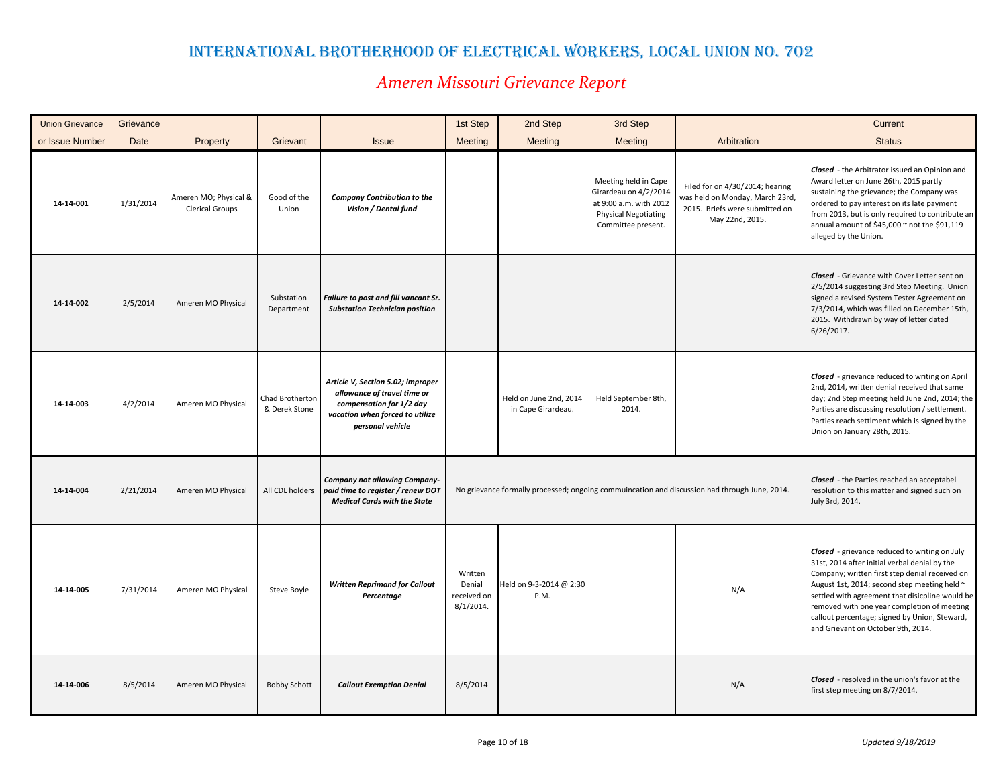| <b>Union Grievance</b> | Grievance |                                                 |                                  |                                                                                                                                                     | 1st Step                                         | 2nd Step                                     | 3rd Step                                                                                                                     |                                                                                                                         | Current                                                                                                                                                                                                                                                                                                                                                                                   |
|------------------------|-----------|-------------------------------------------------|----------------------------------|-----------------------------------------------------------------------------------------------------------------------------------------------------|--------------------------------------------------|----------------------------------------------|------------------------------------------------------------------------------------------------------------------------------|-------------------------------------------------------------------------------------------------------------------------|-------------------------------------------------------------------------------------------------------------------------------------------------------------------------------------------------------------------------------------------------------------------------------------------------------------------------------------------------------------------------------------------|
| or Issue Number        | Date      | Property                                        | Grievant                         | <b>Issue</b>                                                                                                                                        | Meeting                                          | Meeting                                      | Meeting                                                                                                                      | Arbitration                                                                                                             | <b>Status</b>                                                                                                                                                                                                                                                                                                                                                                             |
| 14-14-001              | 1/31/2014 | Ameren MO; Physical &<br><b>Clerical Groups</b> | Good of the<br>Union             | <b>Company Contribution to the</b><br>Vision / Dental fund                                                                                          |                                                  |                                              | Meeting held in Cape<br>Girardeau on 4/2/2014<br>at 9:00 a.m. with 2012<br><b>Physical Negotiating</b><br>Committee present. | Filed for on 4/30/2014; hearing<br>was held on Monday, March 23rd,<br>2015. Briefs were submitted on<br>May 22nd, 2015. | Closed - the Arbitrator issued an Opinion and<br>Award letter on June 26th, 2015 partly<br>sustaining the grievance; the Company was<br>ordered to pay interest on its late payment<br>from 2013, but is only required to contribute an<br>annual amount of \$45,000 $\sim$ not the \$91,119<br>alleged by the Union.                                                                     |
| 14-14-002              | 2/5/2014  | Ameren MO Physical                              | Substation<br>Department         | Failure to post and fill vancant Sr.<br><b>Substation Technician position</b>                                                                       |                                                  |                                              |                                                                                                                              |                                                                                                                         | <b>Closed</b> - Grievance with Cover Letter sent on<br>2/5/2014 suggesting 3rd Step Meeting. Union<br>signed a revised System Tester Agreement on<br>7/3/2014, which was filled on December 15th,<br>2015. Withdrawn by way of letter dated<br>$6/26/2017$ .                                                                                                                              |
| 14-14-003              | 4/2/2014  | Ameren MO Physical                              | Chad Brotherton<br>& Derek Stone | Article V, Section 5.02; improper<br>allowance of travel time or<br>compensation for 1/2 day<br>vacation when forced to utilize<br>personal vehicle |                                                  | Held on June 2nd, 2014<br>in Cape Girardeau. | Held September 8th,<br>2014.                                                                                                 |                                                                                                                         | Closed - grievance reduced to writing on April<br>2nd, 2014, written denial received that same<br>day; 2nd Step meeting held June 2nd, 2014; the<br>Parties are discussing resolution / settlement.<br>Parties reach settlment which is signed by the<br>Union on January 28th, 2015.                                                                                                     |
| 14-14-004              | 2/21/2014 | Ameren MO Physical                              | All CDL holders                  | Company not allowing Company-<br>paid time to register / renew DOT<br><b>Medical Cards with the State</b>                                           |                                                  |                                              |                                                                                                                              | No grievance formally processed; ongoing commuincation and discussion had through June, 2014.                           | <b>Closed</b> - the Parties reached an acceptabel<br>resolution to this matter and signed such on<br>July 3rd, 2014.                                                                                                                                                                                                                                                                      |
| 14-14-005              | 7/31/2014 | Ameren MO Physical                              | Steve Boyle                      | <b>Written Reprimand for Callout</b><br>Percentage                                                                                                  | Written<br>Denial<br>received on<br>$8/1/2014$ . | Held on 9-3-2014 @ 2:30<br>P.M.              |                                                                                                                              | N/A                                                                                                                     | Closed - grievance reduced to writing on July<br>31st, 2014 after initial verbal denial by the<br>Company; written first step denial received on<br>August 1st, 2014; second step meeting held ~<br>settled with agreement that disicpline would be<br>removed with one year completion of meeting<br>callout percentage; signed by Union, Steward,<br>and Grievant on October 9th, 2014. |
| 14-14-006              | 8/5/2014  | Ameren MO Physical                              | <b>Bobby Schott</b>              | <b>Callout Exemption Denial</b>                                                                                                                     | 8/5/2014                                         |                                              |                                                                                                                              | N/A                                                                                                                     | <b>Closed</b> - resolved in the union's favor at the<br>first step meeting on 8/7/2014.                                                                                                                                                                                                                                                                                                   |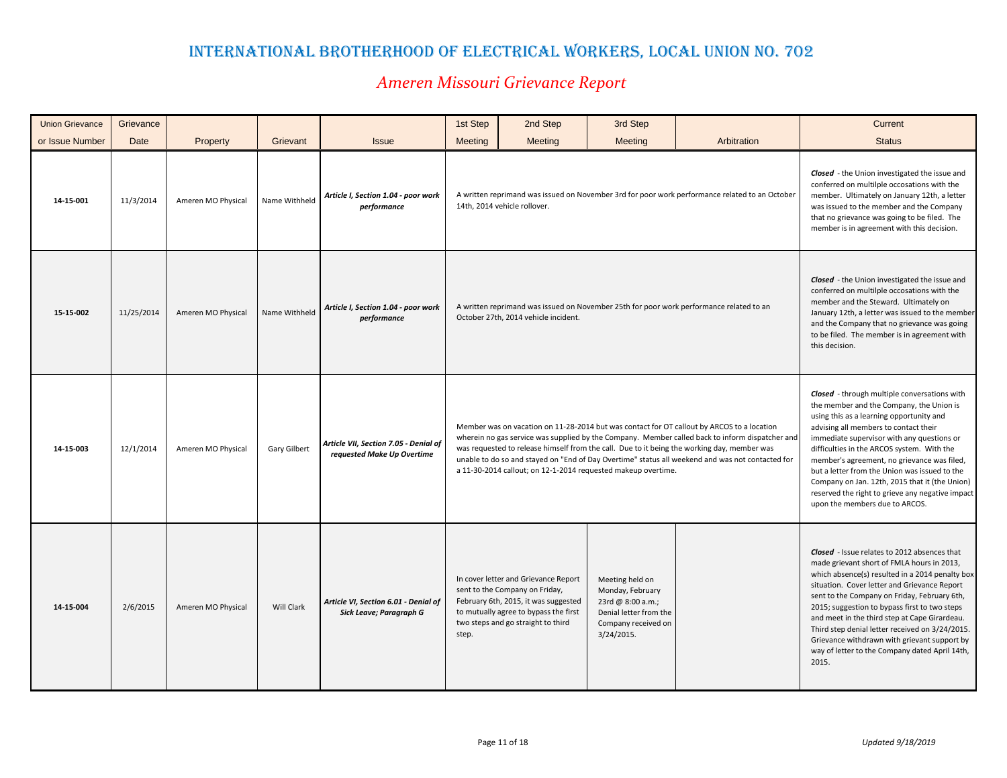| <b>Union Grievance</b> | Grievance  |                    |               |                                                                     | 1st Step | 2nd Step                                                                                                                                                                                      | 3rd Step                                                                                                                                                                                                                                                                                                                                                                                         |                                                                                                                                                                                                                                                                                                                                                                                                                                                                                                                          | Current                                                                                                                                                                                                                                                                                                                                                                                                                                                                                                       |
|------------------------|------------|--------------------|---------------|---------------------------------------------------------------------|----------|-----------------------------------------------------------------------------------------------------------------------------------------------------------------------------------------------|--------------------------------------------------------------------------------------------------------------------------------------------------------------------------------------------------------------------------------------------------------------------------------------------------------------------------------------------------------------------------------------------------|--------------------------------------------------------------------------------------------------------------------------------------------------------------------------------------------------------------------------------------------------------------------------------------------------------------------------------------------------------------------------------------------------------------------------------------------------------------------------------------------------------------------------|---------------------------------------------------------------------------------------------------------------------------------------------------------------------------------------------------------------------------------------------------------------------------------------------------------------------------------------------------------------------------------------------------------------------------------------------------------------------------------------------------------------|
| or Issue Number        | Date       | Property           | Grievant      | <b>Issue</b>                                                        | Meeting  | Meeting                                                                                                                                                                                       | Meeting                                                                                                                                                                                                                                                                                                                                                                                          | Arbitration                                                                                                                                                                                                                                                                                                                                                                                                                                                                                                              | <b>Status</b>                                                                                                                                                                                                                                                                                                                                                                                                                                                                                                 |
| 14-15-001              | 11/3/2014  | Ameren MO Physical | Name Withheld | Article I, Section 1.04 - poor work<br>performance                  |          | 14th, 2014 vehicle rollover.                                                                                                                                                                  |                                                                                                                                                                                                                                                                                                                                                                                                  | A written reprimand was issued on November 3rd for poor work performance related to an October                                                                                                                                                                                                                                                                                                                                                                                                                           | <b>Closed</b> - the Union investigated the issue and<br>conferred on multilple occosations with the<br>member. Ultimately on January 12th, a letter<br>was issued to the member and the Company<br>that no grievance was going to be filed. The<br>member is in agreement with this decision.                                                                                                                                                                                                                 |
| 15-15-002              | 11/25/2014 | Ameren MO Physical | Name Withheld | Article I, Section 1.04 - poor work<br>performance                  |          | October 27th, 2014 vehicle incident.                                                                                                                                                          | A written reprimand was issued on November 25th for poor work performance related to an                                                                                                                                                                                                                                                                                                          | <b>Closed</b> - the Union investigated the issue and<br>conferred on multilple occosations with the<br>member and the Steward. Ultimately on<br>January 12th, a letter was issued to the member<br>and the Company that no grievance was going<br>to be filed. The member is in agreement with<br>this decision.                                                                                                                                                                                                         |                                                                                                                                                                                                                                                                                                                                                                                                                                                                                                               |
| 14-15-003              | 12/1/2014  | Ameren MO Physical | Gary Gilbert  | Article VII, Section 7.05 - Denial of<br>requested Make Up Overtime |          | a 11-30-2014 callout; on 12-1-2014 requested makeup overtime.                                                                                                                                 | Member was on vacation on 11-28-2014 but was contact for OT callout by ARCOS to a location<br>wherein no gas service was supplied by the Company. Member called back to inform dispatcher and<br>was requested to release himself from the call. Due to it being the working day, member was<br>unable to do so and stayed on "End of Day Overtime" status all weekend and was not contacted for | <b>Closed</b> - through multiple conversations with<br>the member and the Company, the Union is<br>using this as a learning opportunity and<br>advising all members to contact their<br>immediate supervisor with any questions or<br>difficulties in the ARCOS system. With the<br>member's agreement, no grievance was filed,<br>but a letter from the Union was issued to the<br>Company on Jan. 12th, 2015 that it (the Union)<br>reserved the right to grieve any negative impact<br>upon the members due to ARCOS. |                                                                                                                                                                                                                                                                                                                                                                                                                                                                                                               |
| 14-15-004              | 2/6/2015   | Ameren MO Physical | Will Clark    | Article VI, Section 6.01 - Denial of<br>Sick Leave; Paragraph G     | step.    | In cover letter and Grievance Report<br>sent to the Company on Friday,<br>February 6th, 2015, it was suggested<br>to mutually agree to bypass the first<br>two steps and go straight to third | Meeting held on<br>Monday, February<br>23rd @ 8:00 a.m.;<br>Denial letter from the<br>Company received on<br>3/24/2015.                                                                                                                                                                                                                                                                          |                                                                                                                                                                                                                                                                                                                                                                                                                                                                                                                          | Closed - Issue relates to 2012 absences that<br>made grievant short of FMLA hours in 2013,<br>which absence(s) resulted in a 2014 penalty box<br>situation. Cover letter and Grievance Report<br>sent to the Company on Friday, February 6th,<br>2015; suggestion to bypass first to two steps<br>and meet in the third step at Cape Girardeau.<br>Third step denial letter received on 3/24/2015.<br>Grievance withdrawn with grievant support by<br>way of letter to the Company dated April 14th,<br>2015. |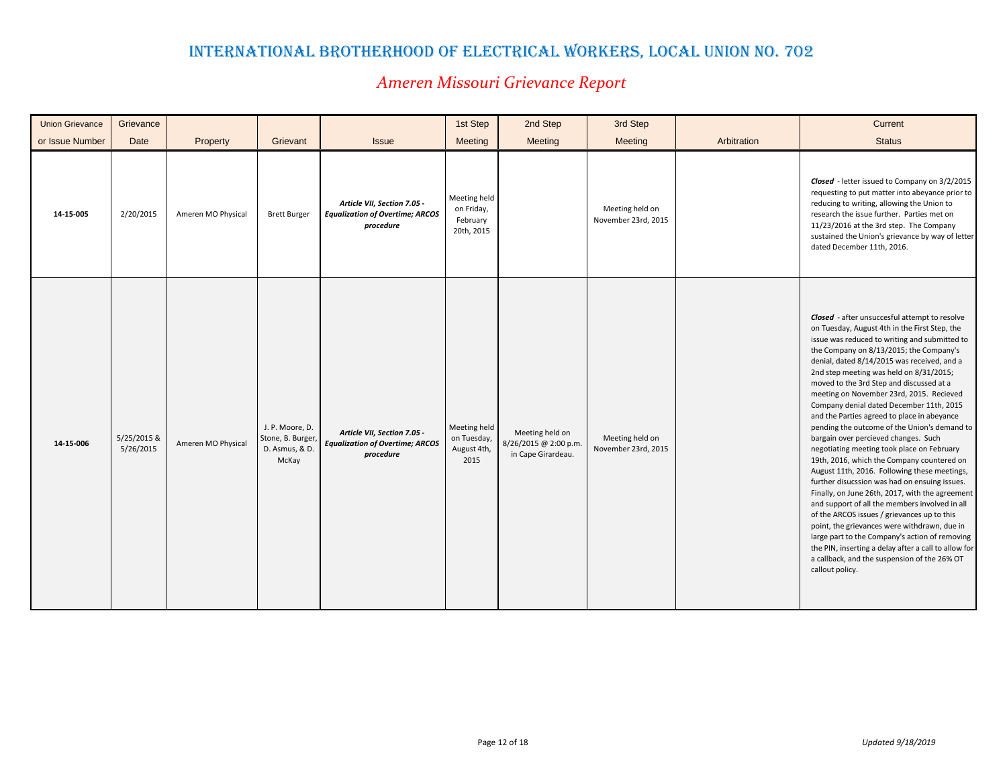| <b>Union Grievance</b> | Grievance                |                    |                                                                 |                                                                                    | 1st Step                                             | 2nd Step                                                       | 3rd Step                               |             | Current                                                                                                                                                                                                                                                                                                                                                                                                                                                                                                                                                                                                                                                                                                                                                                                                                                                                                                                                                                                                                                                                                                                                       |
|------------------------|--------------------------|--------------------|-----------------------------------------------------------------|------------------------------------------------------------------------------------|------------------------------------------------------|----------------------------------------------------------------|----------------------------------------|-------------|-----------------------------------------------------------------------------------------------------------------------------------------------------------------------------------------------------------------------------------------------------------------------------------------------------------------------------------------------------------------------------------------------------------------------------------------------------------------------------------------------------------------------------------------------------------------------------------------------------------------------------------------------------------------------------------------------------------------------------------------------------------------------------------------------------------------------------------------------------------------------------------------------------------------------------------------------------------------------------------------------------------------------------------------------------------------------------------------------------------------------------------------------|
| or Issue Number        | Date                     | Property           | Grievant                                                        | <b>Issue</b>                                                                       | <b>Meeting</b>                                       | Meeting                                                        | Meeting                                | Arbitration | <b>Status</b>                                                                                                                                                                                                                                                                                                                                                                                                                                                                                                                                                                                                                                                                                                                                                                                                                                                                                                                                                                                                                                                                                                                                 |
| 14-15-005              | 2/20/2015                | Ameren MO Physical | <b>Brett Burger</b>                                             | Article VII, Section 7.05 -<br><b>Equalization of Overtime; ARCOS</b><br>procedure | Meeting held<br>on Friday,<br>February<br>20th, 2015 |                                                                | Meeting held on<br>November 23rd, 2015 |             | Closed - letter issued to Company on 3/2/2015<br>requesting to put matter into abeyance prior to<br>reducing to writing, allowing the Union to<br>research the issue further. Parties met on<br>11/23/2016 at the 3rd step. The Company<br>sustained the Union's grievance by way of letter<br>dated December 11th, 2016.                                                                                                                                                                                                                                                                                                                                                                                                                                                                                                                                                                                                                                                                                                                                                                                                                     |
| 14-15-006              | 5/25/2015 &<br>5/26/2015 | Ameren MO Physical | J. P. Moore, D.<br>Stone, B. Burger,<br>D. Asmus, & D.<br>McKay | Article VII, Section 7.05 -<br><b>Equalization of Overtime; ARCOS</b><br>procedure | Meeting held<br>on Tuesday,<br>August 4th,<br>2015   | Meeting held on<br>8/26/2015 @ 2:00 p.m.<br>in Cape Girardeau. | Meeting held on<br>November 23rd, 2015 |             | Closed - after unsuccesful attempt to resolve<br>on Tuesday, August 4th in the First Step, the<br>issue was reduced to writing and submitted to<br>the Company on 8/13/2015; the Company's<br>denial, dated 8/14/2015 was received, and a<br>2nd step meeting was held on 8/31/2015;<br>moved to the 3rd Step and discussed at a<br>meeting on November 23rd, 2015. Recieved<br>Company denial dated December 11th, 2015<br>and the Parties agreed to place in abeyance<br>pending the outcome of the Union's demand to<br>bargain over percieved changes. Such<br>negotiating meeting took place on February<br>19th, 2016, which the Company countered on<br>August 11th, 2016. Following these meetings,<br>further disucssion was had on ensuing issues.<br>Finally, on June 26th, 2017, with the agreement<br>and support of all the members involved in all<br>of the ARCOS issues / grievances up to this<br>point, the grievances were withdrawn, due in<br>large part to the Company's action of removing<br>the PIN, inserting a delay after a call to allow for<br>a callback, and the suspension of the 26% OT<br>callout policy. |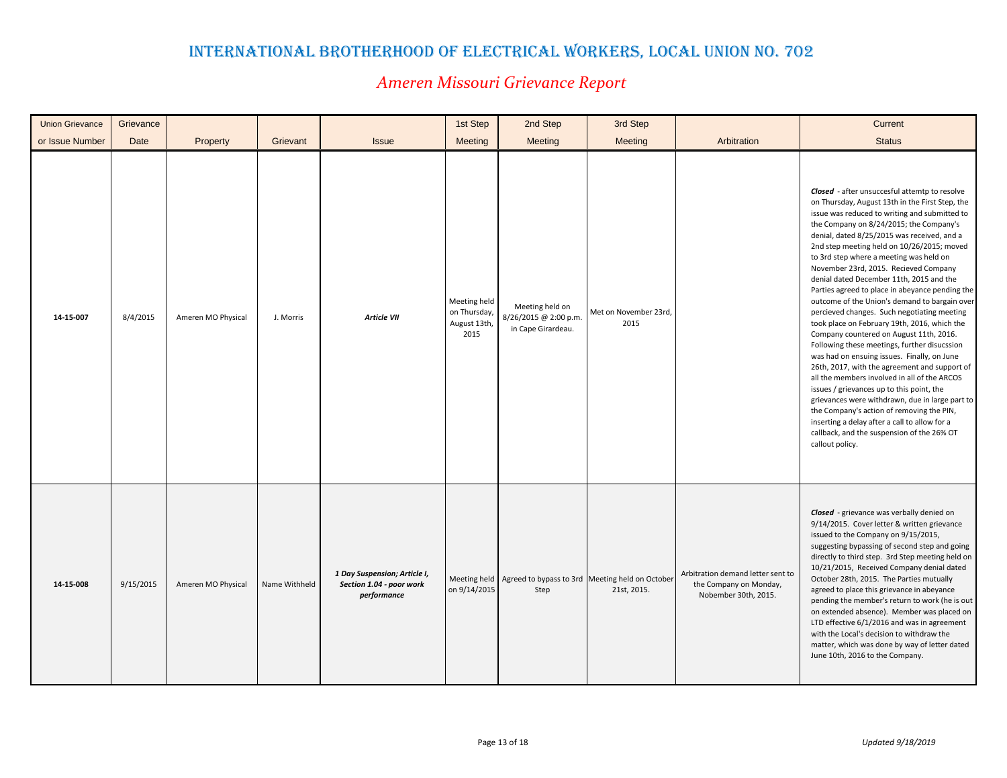| <b>Union Grievance</b> | Grievance |                    |               |                                                                         | 1st Step                                             | 2nd Step                                                       | 3rd Step                                                                        |                                                                                     | Current                                                                                                                                                                                                                                                                                                                                                                                                                                                                                                                                                                                                                                                                                                                                                                                                                                                                                                                                                                                                                                                                                                                                       |
|------------------------|-----------|--------------------|---------------|-------------------------------------------------------------------------|------------------------------------------------------|----------------------------------------------------------------|---------------------------------------------------------------------------------|-------------------------------------------------------------------------------------|-----------------------------------------------------------------------------------------------------------------------------------------------------------------------------------------------------------------------------------------------------------------------------------------------------------------------------------------------------------------------------------------------------------------------------------------------------------------------------------------------------------------------------------------------------------------------------------------------------------------------------------------------------------------------------------------------------------------------------------------------------------------------------------------------------------------------------------------------------------------------------------------------------------------------------------------------------------------------------------------------------------------------------------------------------------------------------------------------------------------------------------------------|
| or Issue Number        | Date      | Property           | Grievant      | <b>Issue</b>                                                            | Meeting                                              | Meeting                                                        | <b>Meeting</b>                                                                  | Arbitration                                                                         | <b>Status</b>                                                                                                                                                                                                                                                                                                                                                                                                                                                                                                                                                                                                                                                                                                                                                                                                                                                                                                                                                                                                                                                                                                                                 |
| 14-15-007              | 8/4/2015  | Ameren MO Physical | J. Morris     | Article VII                                                             | Meeting held<br>on Thursday,<br>August 13th,<br>2015 | Meeting held on<br>8/26/2015 @ 2:00 p.m.<br>in Cape Girardeau. | Met on November 23rd,<br>2015                                                   |                                                                                     | <b>Closed</b> - after unsuccesful attemtp to resolve<br>on Thursday, August 13th in the First Step, the<br>issue was reduced to writing and submitted to<br>the Company on 8/24/2015; the Company's<br>denial, dated 8/25/2015 was received, and a<br>2nd step meeting held on 10/26/2015; moved<br>to 3rd step where a meeting was held on<br>November 23rd, 2015. Recieved Company<br>denial dated December 11th, 2015 and the<br>Parties agreed to place in abeyance pending the<br>outcome of the Union's demand to bargain over<br>percieved changes. Such negotiating meeting<br>took place on February 19th, 2016, which the<br>Company countered on August 11th, 2016.<br>Following these meetings, further disucssion<br>was had on ensuing issues. Finally, on June<br>26th, 2017, with the agreement and support of<br>all the members involved in all of the ARCOS<br>issues / grievances up to this point, the<br>grievances were withdrawn, due in large part to<br>the Company's action of removing the PIN,<br>inserting a delay after a call to allow for a<br>callback, and the suspension of the 26% OT<br>callout policy. |
| 14-15-008              | 9/15/2015 | Ameren MO Physical | Name Withheld | 1 Day Suspension; Article I,<br>Section 1.04 - poor work<br>performance | on 9/14/2015                                         | Step                                                           | Meeting held   Agreed to bypass to 3rd   Meeting held on October<br>21st, 2015. | Arbitration demand letter sent to<br>the Company on Monday,<br>Nobember 30th, 2015. | Closed - grievance was verbally denied on<br>9/14/2015. Cover letter & written grievance<br>issued to the Company on 9/15/2015,<br>suggesting bypassing of second step and going<br>directly to third step. 3rd Step meeting held on<br>10/21/2015, Received Company denial dated<br>October 28th, 2015. The Parties mutually<br>agreed to place this grievance in abeyance<br>pending the member's return to work (he is out<br>on extended absence). Member was placed on<br>LTD effective 6/1/2016 and was in agreement<br>with the Local's decision to withdraw the<br>matter, which was done by way of letter dated<br>June 10th, 2016 to the Company.                                                                                                                                                                                                                                                                                                                                                                                                                                                                                   |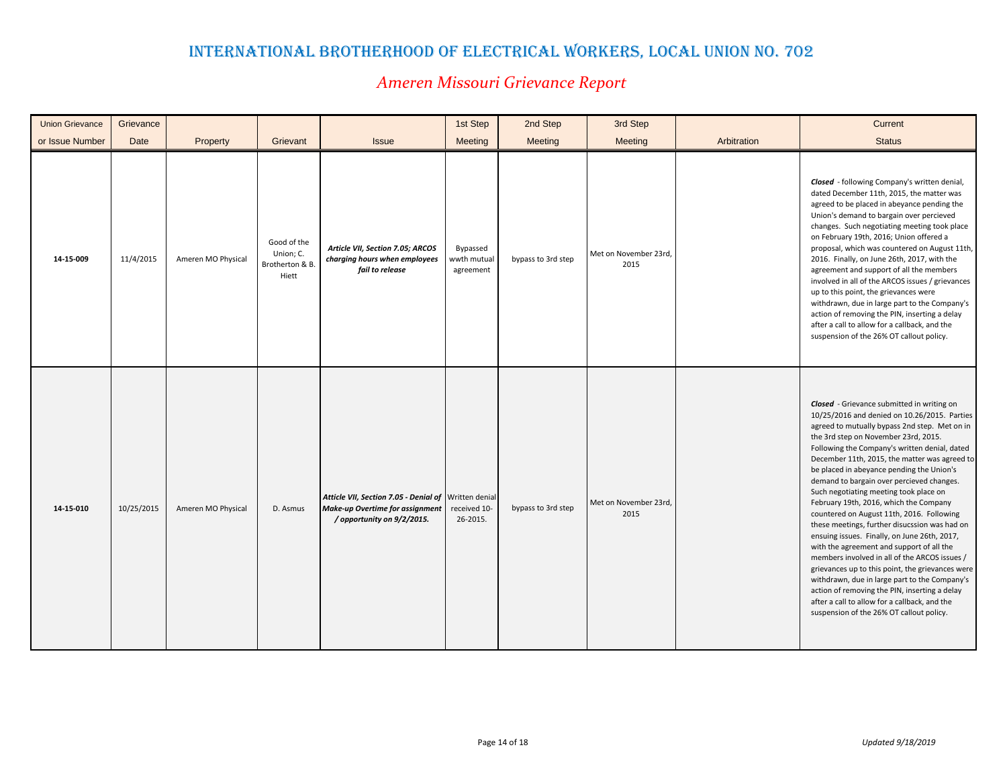| <b>Union Grievance</b> | Grievance  |                    |                                                      |                                                                                                                       | 1st Step                             | 2nd Step           | 3rd Step                      |             | Current                                                                                                                                                                                                                                                                                                                                                                                                                                                                                                                                                                                                                                                                                                                                                                                                                                                                                                                                                            |
|------------------------|------------|--------------------|------------------------------------------------------|-----------------------------------------------------------------------------------------------------------------------|--------------------------------------|--------------------|-------------------------------|-------------|--------------------------------------------------------------------------------------------------------------------------------------------------------------------------------------------------------------------------------------------------------------------------------------------------------------------------------------------------------------------------------------------------------------------------------------------------------------------------------------------------------------------------------------------------------------------------------------------------------------------------------------------------------------------------------------------------------------------------------------------------------------------------------------------------------------------------------------------------------------------------------------------------------------------------------------------------------------------|
| or Issue Number        | Date       | Property           | Grievant                                             | <b>Issue</b>                                                                                                          | Meeting                              | Meeting            | Meeting                       | Arbitration | <b>Status</b>                                                                                                                                                                                                                                                                                                                                                                                                                                                                                                                                                                                                                                                                                                                                                                                                                                                                                                                                                      |
| 14-15-009              | 11/4/2015  | Ameren MO Physical | Good of the<br>Union; C.<br>Brotherton & B.<br>Hiett | Article VII, Section 7.05; ARCOS<br>charging hours when employees<br>fail to release                                  | Bypassed<br>wwth mutual<br>agreement | bypass to 3rd step | Met on November 23rd,<br>2015 |             | Closed - following Company's written denial,<br>dated December 11th, 2015, the matter was<br>agreed to be placed in abeyance pending the<br>Union's demand to bargain over percieved<br>changes. Such negotiating meeting took place<br>on February 19th, 2016; Union offered a<br>proposal, which was countered on August 11th,<br>2016. Finally, on June 26th, 2017, with the<br>agreement and support of all the members<br>involved in all of the ARCOS issues / grievances<br>up to this point, the grievances were<br>withdrawn, due in large part to the Company's<br>action of removing the PIN, inserting a delay<br>after a call to allow for a callback, and the<br>suspension of the 26% OT callout policy.                                                                                                                                                                                                                                            |
| 14-15-010              | 10/25/2015 | Ameren MO Physical | D. Asmus                                             | Atticle VII, Section 7.05 - Denial of Written denial<br>Make-up Overtime for assignment<br>/ opportunity on 9/2/2015. | received 10-<br>26-2015.             | bypass to 3rd step | Met on November 23rd,<br>2015 |             | Closed - Grievance submitted in writing on<br>10/25/2016 and denied on 10.26/2015. Parties<br>agreed to mutually bypass 2nd step. Met on in<br>the 3rd step on November 23rd, 2015.<br>Following the Company's written denial, dated<br>December 11th, 2015, the matter was agreed to<br>be placed in abeyance pending the Union's<br>demand to bargain over percieved changes.<br>Such negotiating meeting took place on<br>February 19th, 2016, which the Company<br>countered on August 11th, 2016. Following<br>these meetings, further disucssion was had on<br>ensuing issues. Finally, on June 26th, 2017,<br>with the agreement and support of all the<br>members involved in all of the ARCOS issues /<br>grievances up to this point, the grievances were<br>withdrawn, due in large part to the Company's<br>action of removing the PIN, inserting a delay<br>after a call to allow for a callback, and the<br>suspension of the 26% OT callout policy. |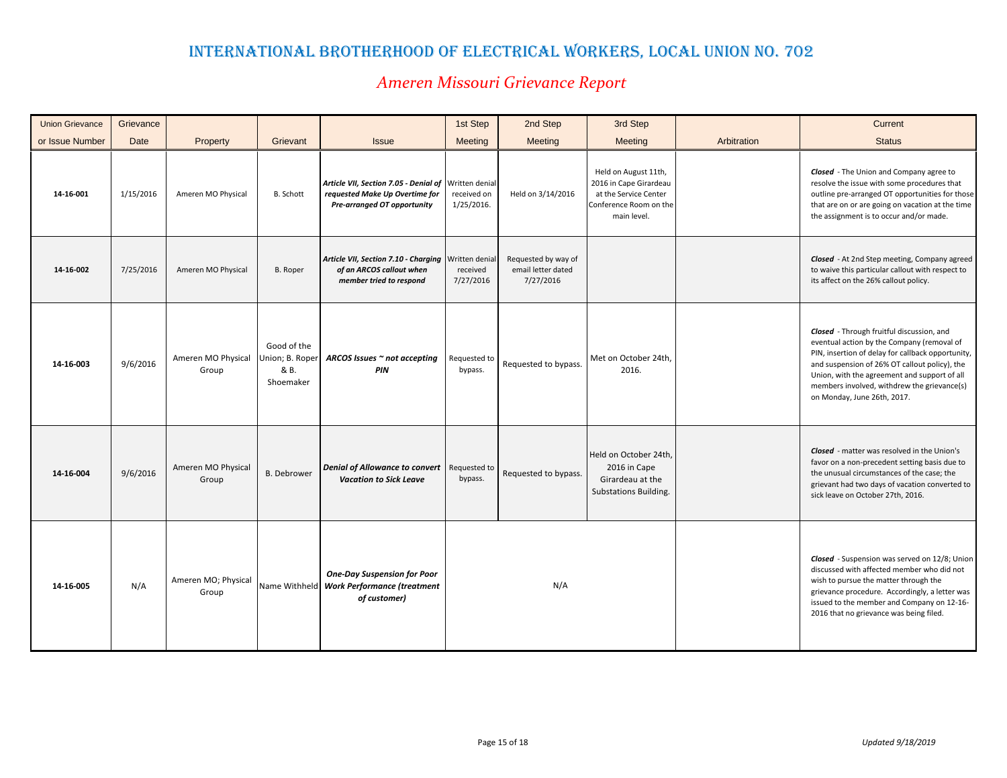| <b>Union Grievance</b> | Grievance   |                              |                                                     |                                                                                                                       | 1st Step                  | 2nd Step                                               | 3rd Step                                                                                                         |             | Current                                                                                                                                                                                                                                                                                                                     |
|------------------------|-------------|------------------------------|-----------------------------------------------------|-----------------------------------------------------------------------------------------------------------------------|---------------------------|--------------------------------------------------------|------------------------------------------------------------------------------------------------------------------|-------------|-----------------------------------------------------------------------------------------------------------------------------------------------------------------------------------------------------------------------------------------------------------------------------------------------------------------------------|
| or Issue Number        | <b>Date</b> | Property                     | Grievant                                            | <b>Issue</b>                                                                                                          | <b>Meeting</b>            | Meeting                                                | <b>Meeting</b>                                                                                                   | Arbitration | <b>Status</b>                                                                                                                                                                                                                                                                                                               |
| 14-16-001              | 1/15/2016   | Ameren MO Physical           | <b>B.</b> Schott                                    | Article VII, Section 7.05 - Denial of Written denial<br>requested Make Up Overtime for<br>Pre-arranged OT opportunity | received on<br>1/25/2016. | Held on 3/14/2016                                      | Held on August 11th,<br>2016 in Cape Girardeau<br>at the Service Center<br>Conference Room on the<br>main level. |             | <b>Closed</b> - The Union and Company agree to<br>resolve the issue with some procedures that<br>outline pre-arranged OT opportunities for those<br>that are on or are going on vacation at the time<br>the assignment is to occur and/or made.                                                                             |
| 14-16-002              | 7/25/2016   | Ameren MO Physical           | <b>B.</b> Roper                                     | Article VII, Section 7.10 - Charging Written denial<br>of an ARCOS callout when<br>member tried to respond            | received<br>7/27/2016     | Requested by way of<br>email letter dated<br>7/27/2016 |                                                                                                                  |             | Closed - At 2nd Step meeting, Company agreed<br>to waive this particular callout with respect to<br>its affect on the 26% callout policy.                                                                                                                                                                                   |
| 14-16-003              | 9/6/2016    | Ameren MO Physical<br>Group  | Good of the<br>Jnion; B. Roper<br>& B.<br>Shoemaker | ARCOS Issues ∼ not accepting<br>PIN                                                                                   | Requested to<br>bypass.   | Requested to bypass.                                   | Met on October 24th,<br>2016.                                                                                    |             | Closed - Through fruitful discussion, and<br>eventual action by the Company (removal of<br>PIN, insertion of delay for callback opportunity,<br>and suspension of 26% OT callout policy), the<br>Union, with the agreement and support of all<br>members involved, withdrew the grievance(s)<br>on Monday, June 26th, 2017. |
| 14-16-004              | 9/6/2016    | Ameren MO Physical<br>Group  | <b>B.</b> Debrower                                  | Denial of Allowance to convert<br><b>Vacation to Sick Leave</b>                                                       | Requested to<br>bypass.   | Requested to bypass.                                   | Held on October 24th,<br>2016 in Cape<br>Girardeau at the<br>Substations Building.                               |             | <b>Closed</b> - matter was resolved in the Union's<br>favor on a non-precedent setting basis due to<br>the unusual circumstances of the case; the<br>grievant had two days of vacation converted to<br>sick leave on October 27th, 2016.                                                                                    |
| 14-16-005              | N/A         | Ameren MO; Physical<br>Group | Name Withheld                                       | <b>One-Day Suspension for Poor</b><br><b>Work Performance (treatment</b><br>of customer)                              |                           | N/A                                                    |                                                                                                                  |             | Closed - Suspension was served on 12/8; Union<br>discussed with affected member who did not<br>wish to pursue the matter through the<br>grievance procedure. Accordingly, a letter was<br>issued to the member and Company on 12-16-<br>2016 that no grievance was being filed.                                             |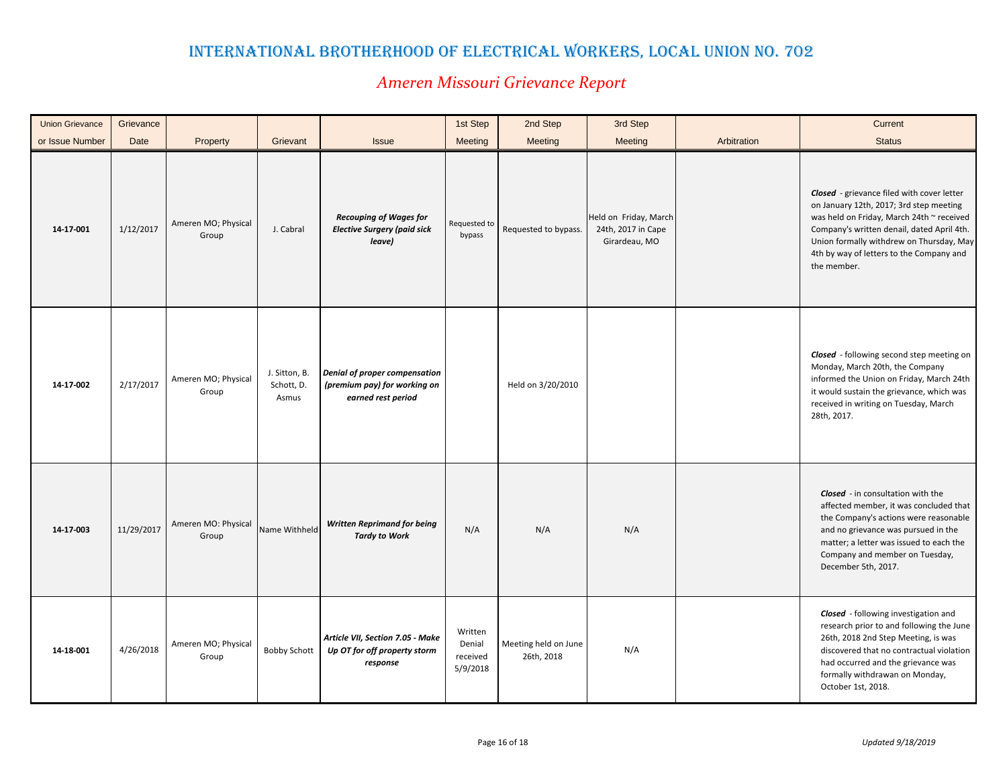| <b>Union Grievance</b> | Grievance  |                              |                                      |                                                                                     | 1st Step                                  | 2nd Step                           | 3rd Step                                                     |             | Current                                                                                                                                                                                                                                                                                 |
|------------------------|------------|------------------------------|--------------------------------------|-------------------------------------------------------------------------------------|-------------------------------------------|------------------------------------|--------------------------------------------------------------|-------------|-----------------------------------------------------------------------------------------------------------------------------------------------------------------------------------------------------------------------------------------------------------------------------------------|
| or Issue Number        | Date       | Property                     | Grievant                             | <b>Issue</b>                                                                        | Meeting                                   | Meeting                            | <b>Meeting</b>                                               | Arbitration | <b>Status</b>                                                                                                                                                                                                                                                                           |
| 14-17-001              | 1/12/2017  | Ameren MO; Physical<br>Group | J. Cabral                            | <b>Recouping of Wages for</b><br><b>Elective Surgery (paid sick</b><br>leave)       | Requested to<br>bypass                    | Requested to bypass.               | Held on Friday, March<br>24th, 2017 in Cape<br>Girardeau, MO |             | Closed - grievance filed with cover letter<br>on January 12th, 2017; 3rd step meeting<br>was held on Friday, March 24th ~ received<br>Company's written denail, dated April 4th.<br>Union formally withdrew on Thursday, May<br>4th by way of letters to the Company and<br>the member. |
| 14-17-002              | 2/17/2017  | Ameren MO; Physical<br>Group | J. Sitton, B.<br>Schott, D.<br>Asmus | Denial of proper compensation<br>(premium pay) for working on<br>earned rest period |                                           | Held on 3/20/2010                  |                                                              |             | Closed - following second step meeting on<br>Monday, March 20th, the Company<br>informed the Union on Friday, March 24th<br>it would sustain the grievance, which was<br>received in writing on Tuesday, March<br>28th, 2017.                                                           |
| 14-17-003              | 11/29/2017 | Ameren MO: Physical<br>Group | Name Withheld                        | <b>Written Reprimand for being</b><br><b>Tardy to Work</b>                          | N/A                                       | N/A                                | N/A                                                          |             | <b>Closed</b> - in consultation with the<br>affected member, it was concluded that<br>the Company's actions were reasonable<br>and no grievance was pursued in the<br>matter; a letter was issued to each the<br>Company and member on Tuesday,<br>December 5th, 2017.                  |
| 14-18-001              | 4/26/2018  | Ameren MO; Physical<br>Group | <b>Bobby Schott</b>                  | Article VII, Section 7.05 - Make<br>Up OT for off property storm<br>response        | Written<br>Denial<br>received<br>5/9/2018 | Meeting held on June<br>26th, 2018 | N/A                                                          |             | <b>Closed</b> - following investigation and<br>research prior to and following the June<br>26th, 2018 2nd Step Meeting, is was<br>discovered that no contractual violation<br>had occurred and the grievance was<br>formally withdrawan on Monday,<br>October 1st, 2018.                |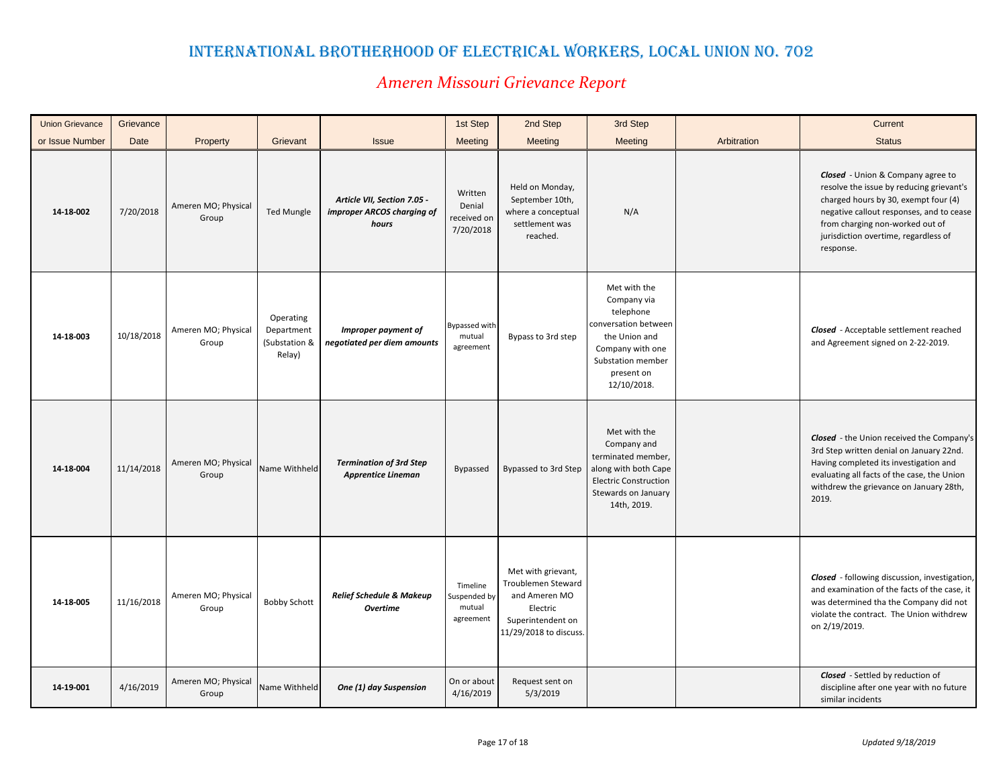| <b>Union Grievance</b> | Grievance  |                              |                                                    |                                                                    | 1st Step                                        | 2nd Step                                                                                                             | 3rd Step                                                                                                                                                |             | Current                                                                                                                                                                                                                                                   |
|------------------------|------------|------------------------------|----------------------------------------------------|--------------------------------------------------------------------|-------------------------------------------------|----------------------------------------------------------------------------------------------------------------------|---------------------------------------------------------------------------------------------------------------------------------------------------------|-------------|-----------------------------------------------------------------------------------------------------------------------------------------------------------------------------------------------------------------------------------------------------------|
| or Issue Number        | Date       | Property                     | Grievant                                           | <b>Issue</b>                                                       | Meeting                                         | <b>Meeting</b>                                                                                                       | <b>Meeting</b>                                                                                                                                          | Arbitration | <b>Status</b>                                                                                                                                                                                                                                             |
| 14-18-002              | 7/20/2018  | Ameren MO; Physical<br>Group | <b>Ted Mungle</b>                                  | Article VII, Section 7.05 -<br>improper ARCOS charging of<br>hours | Written<br>Denial<br>received on<br>7/20/2018   | Held on Monday,<br>September 10th,<br>where a conceptual<br>settlement was<br>reached.                               | N/A                                                                                                                                                     |             | Closed - Union & Company agree to<br>resolve the issue by reducing grievant's<br>charged hours by 30, exempt four (4)<br>negative callout responses, and to cease<br>from charging non-worked out of<br>jurisdiction overtime, regardless of<br>response. |
| 14-18-003              | 10/18/2018 | Ameren MO; Physical<br>Group | Operating<br>Department<br>(Substation &<br>Relay) | Improper payment of<br>negotiated per diem amounts                 | Bypassed with<br>mutual<br>agreement            | Bypass to 3rd step                                                                                                   | Met with the<br>Company via<br>telephone<br>conversation between<br>the Union and<br>Company with one<br>Substation member<br>present on<br>12/10/2018. |             | <b>Closed</b> - Acceptable settlement reached<br>and Agreement signed on 2-22-2019.                                                                                                                                                                       |
| 14-18-004              | 11/14/2018 | Ameren MO; Physical<br>Group | Name Withheld                                      | <b>Termination of 3rd Step</b><br><b>Apprentice Lineman</b>        | Bypassed                                        | Bypassed to 3rd Step                                                                                                 | Met with the<br>Company and<br>terminated member,<br>along with both Cape<br><b>Electric Construction</b><br>Stewards on January<br>14th, 2019.         |             | <b>Closed</b> - the Union received the Company's<br>3rd Step written denial on January 22nd.<br>Having completed its investigation and<br>evaluating all facts of the case, the Union<br>withdrew the grievance on January 28th,<br>2019.                 |
| 14-18-005              | 11/16/2018 | Ameren MO; Physical<br>Group | <b>Bobby Schott</b>                                | <b>Relief Schedule &amp; Makeup</b><br><b>Overtime</b>             | Timeline<br>Suspended by<br>mutual<br>agreement | Met with grievant,<br>Troublemen Steward<br>and Ameren MO<br>Electric<br>Superintendent on<br>11/29/2018 to discuss. |                                                                                                                                                         |             | Closed - following discussion, investigation,<br>and examination of the facts of the case, it<br>was determined tha the Company did not<br>violate the contract. The Union withdrew<br>on 2/19/2019.                                                      |
| 14-19-001              | 4/16/2019  | Ameren MO; Physical<br>Group | Name Withheld                                      | One (1) day Suspension                                             | On or about<br>4/16/2019                        | Request sent on<br>5/3/2019                                                                                          |                                                                                                                                                         |             | Closed - Settled by reduction of<br>discipline after one year with no future<br>similar incidents                                                                                                                                                         |